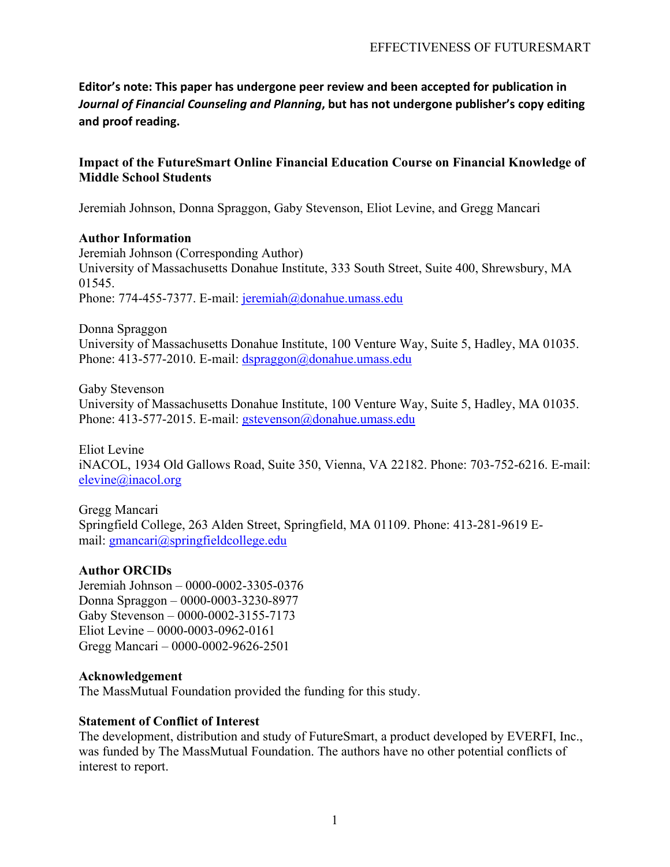**Editor's note: This paper has undergone peer review and been accepted for publication in**  *Journal of Financial Counseling and Planning***, but has not undergone publisher's copy editing and proof reading.** 

### **Impact of the FutureSmart Online Financial Education Course on Financial Knowledge of Middle School Students**

Jeremiah Johnson, Donna Spraggon, Gaby Stevenson, Eliot Levine, and Gregg Mancari

### **Author Information**

Jeremiah Johnson (Corresponding Author) University of Massachusetts Donahue Institute, 333 South Street, Suite 400, Shrewsbury, MA 01545. Phone: 774-455-7377. E-mail: [jeremiah@donahue.umass.edu](mailto:jeremiah@donahue.umass.edu)

Donna Spraggon University of Massachusetts Donahue Institute, 100 Venture Way, Suite 5, Hadley, MA 01035. Phone: 413-577-2010. E-mail: [dspraggon@donahue.umass.edu](mailto:dspraggon@donahue.umass.edu)

Gaby Stevenson University of Massachusetts Donahue Institute, 100 Venture Way, Suite 5, Hadley, MA 01035. Phone: 413-577-2015. E-mail: [gstevenson@donahue.umass.edu](mailto:gstevenson@donahue.umass.edu)

Eliot Levine iNACOL, 1934 Old Gallows Road, Suite 350, Vienna, VA 22182. Phone: 703-752-6216. E-mail: [elevine@inacol.org](file://umdifiles/hadley5-data/RESEARCH/EDUCATIONAL%20INITIATIVES/FutureSmart/Deliverables/QED%20Manuscript/Section%20Drafts/elevine@inacol.org%20)

Gregg Mancari Springfield College, 263 Alden Street, Springfield, MA 01109. Phone: 413-281-9619 Email: [gmancari@springfieldcollege.edu](mailto:gmancari@springfieldcollege.edu)

### **Author ORCIDs**

Jeremiah Johnson – 0000-0002-3305-0376 Donna Spraggon – 0000-0003-3230-8977 Gaby Stevenson – 0000-0002-3155-7173 Eliot Levine – 0000-0003-0962-0161 Gregg Mancari – 0000-0002-9626-2501

### **Acknowledgement**

The MassMutual Foundation provided the funding for this study.

### **Statement of Conflict of Interest**

The development, distribution and study of FutureSmart, a product developed by EVERFI, Inc., was funded by The MassMutual Foundation. The authors have no other potential conflicts of interest to report.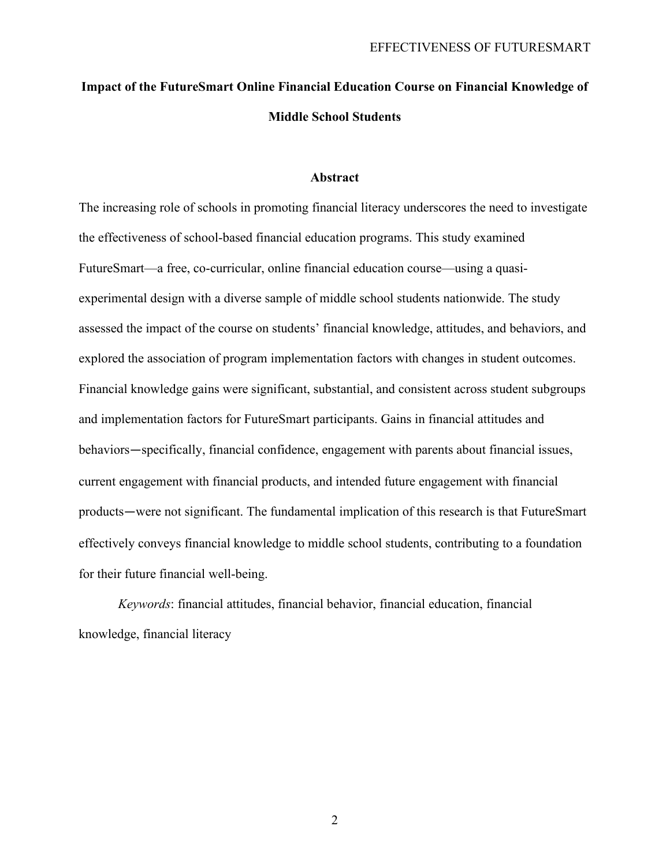# **Impact of the FutureSmart Online Financial Education Course on Financial Knowledge of Middle School Students**

#### **Abstract**

The increasing role of schools in promoting financial literacy underscores the need to investigate the effectiveness of school-based financial education programs. This study examined FutureSmart—a free, co-curricular, online financial education course—using a quasiexperimental design with a diverse sample of middle school students nationwide. The study assessed the impact of the course on students' financial knowledge, attitudes, and behaviors, and explored the association of program implementation factors with changes in student outcomes. Financial knowledge gains were significant, substantial, and consistent across student subgroups and implementation factors for FutureSmart participants. Gains in financial attitudes and behaviors—specifically, financial confidence, engagement with parents about financial issues, current engagement with financial products, and intended future engagement with financial products—were not significant. The fundamental implication of this research is that FutureSmart effectively conveys financial knowledge to middle school students, contributing to a foundation for their future financial well-being.

*Keywords*: financial attitudes, financial behavior, financial education, financial knowledge, financial literacy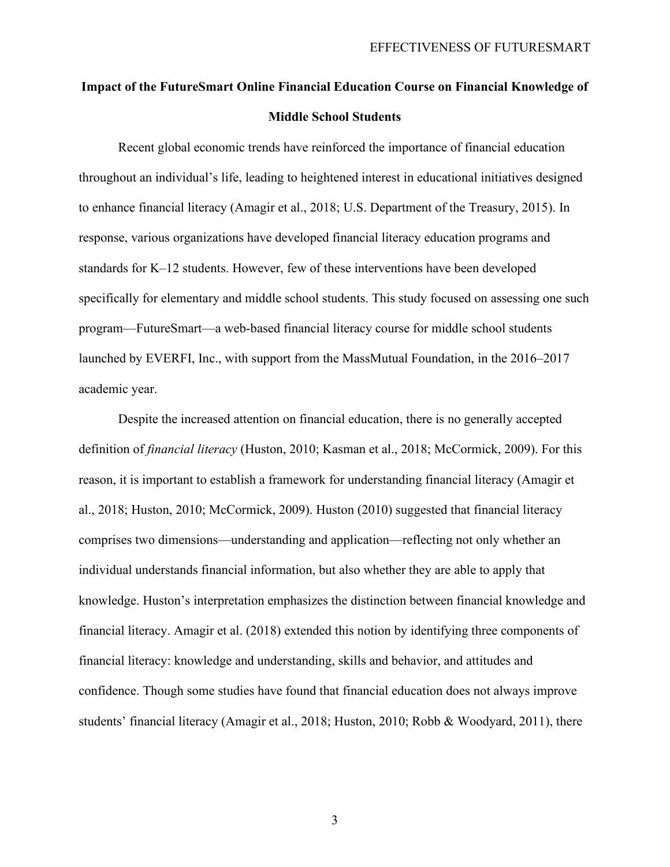# **Impact of the FutureSmart Online Financial Education Course on Financial Knowledge of Middle School Students**

Recent global economic trends have reinforced the importance of financial education throughout an individual's life, leading to heightened interest in educational initiatives designed to enhance financial literacy (Amagir et al., 2018; U.S. Department of the Treasury, 2015). In response, various organizations have developed financial literacy education programs and standards for K–12 students. However, few of these interventions have been developed specifically for elementary and middle school students. This study focused on assessing one such program—FutureSmart—a web-based financial literacy course for middle school students launched by EVERFI, Inc., with support from the MassMutual Foundation, in the 2016–2017 academic year.

Despite the increased attention on financial education, there is no generally accepted definition of *financial literacy* (Huston, 2010; Kasman et al., 2018; McCormick, 2009). For this reason, it is important to establish a framework for understanding financial literacy (Amagir et al., 2018; Huston, 2010; McCormick, 2009). Huston (2010) suggested that financial literacy comprises two dimensions—understanding and application—reflecting not only whether an individual understands financial information, but also whether they are able to apply that knowledge. Huston's interpretation emphasizes the distinction between financial knowledge and financial literacy. Amagir et al. (2018) extended this notion by identifying three components of financial literacy: knowledge and understanding, skills and behavior, and attitudes and confidence. Though some studies have found that financial education does not always improve students' financial literacy (Amagir et al., 2018; Huston, 2010; Robb & Woodyard, 2011), there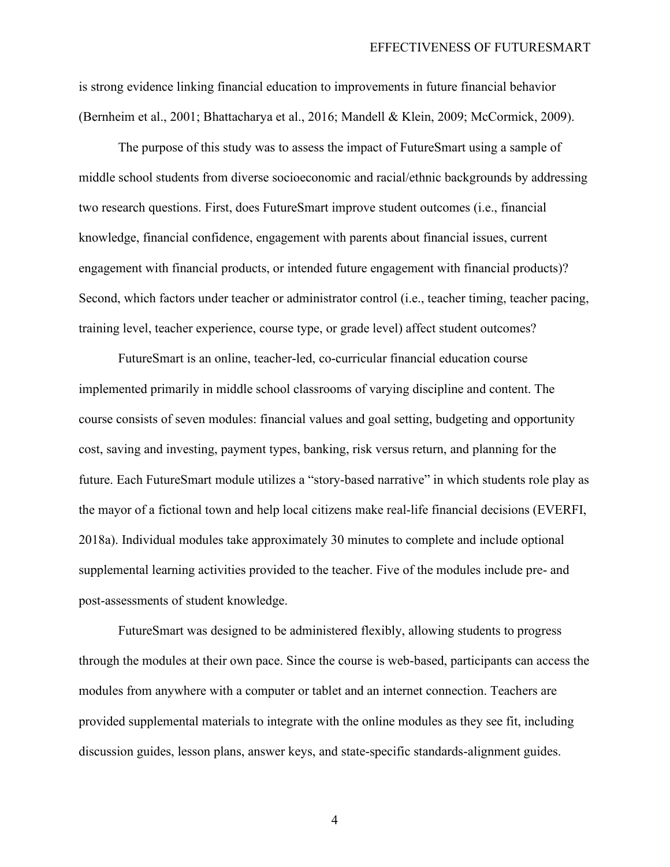is strong evidence linking financial education to improvements in future financial behavior (Bernheim et al., 2001; Bhattacharya et al., 2016; Mandell & Klein, 2009; McCormick, 2009).

The purpose of this study was to assess the impact of FutureSmart using a sample of middle school students from diverse socioeconomic and racial/ethnic backgrounds by addressing two research questions. First, does FutureSmart improve student outcomes (i.e., financial knowledge, financial confidence, engagement with parents about financial issues, current engagement with financial products, or intended future engagement with financial products)? Second, which factors under teacher or administrator control (i.e., teacher timing, teacher pacing, training level, teacher experience, course type, or grade level) affect student outcomes?

FutureSmart is an online, teacher-led, co-curricular financial education course implemented primarily in middle school classrooms of varying discipline and content. The course consists of seven modules: financial values and goal setting, budgeting and opportunity cost, saving and investing, payment types, banking, risk versus return, and planning for the future. Each FutureSmart module utilizes a "story-based narrative" in which students role play as the mayor of a fictional town and help local citizens make real-life financial decisions (EVERFI, 2018a). Individual modules take approximately 30 minutes to complete and include optional supplemental learning activities provided to the teacher. Five of the modules include pre- and post-assessments of student knowledge.

FutureSmart was designed to be administered flexibly, allowing students to progress through the modules at their own pace. Since the course is web-based, participants can access the modules from anywhere with a computer or tablet and an internet connection. Teachers are provided supplemental materials to integrate with the online modules as they see fit, including discussion guides, lesson plans, answer keys, and state-specific standards-alignment guides.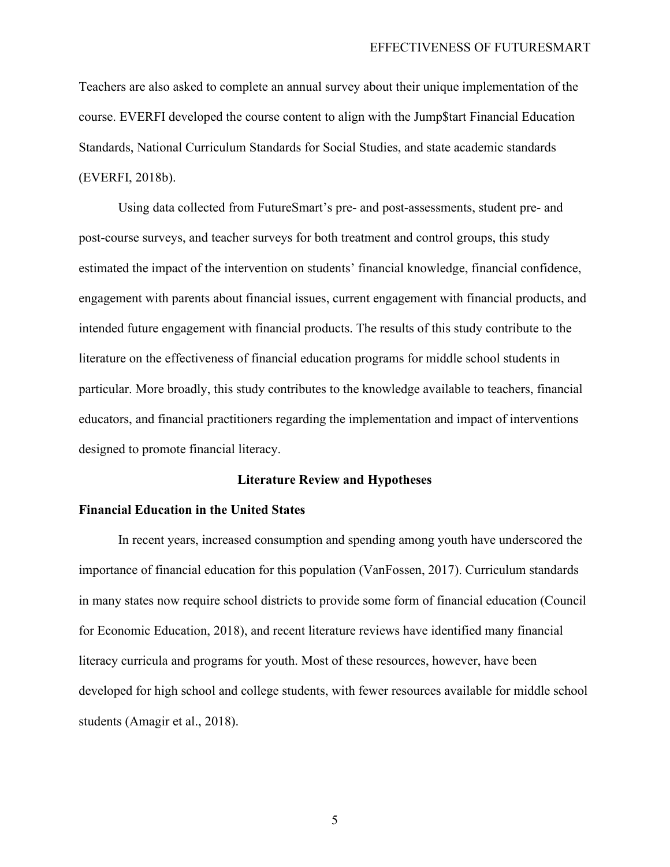Teachers are also asked to complete an annual survey about their unique implementation of the course. EVERFI developed the course content to align with the Jump\$tart Financial Education Standards, National Curriculum Standards for Social Studies, and state academic standards (EVERFI, 2018b).

Using data collected from FutureSmart's pre- and post-assessments, student pre- and post-course surveys, and teacher surveys for both treatment and control groups, this study estimated the impact of the intervention on students' financial knowledge, financial confidence, engagement with parents about financial issues, current engagement with financial products, and intended future engagement with financial products. The results of this study contribute to the literature on the effectiveness of financial education programs for middle school students in particular. More broadly, this study contributes to the knowledge available to teachers, financial educators, and financial practitioners regarding the implementation and impact of interventions designed to promote financial literacy.

#### **Literature Review and Hypotheses**

#### **Financial Education in the United States**

In recent years, increased consumption and spending among youth have underscored the importance of financial education for this population (VanFossen, 2017). Curriculum standards in many states now require school districts to provide some form of financial education (Council for Economic Education, 2018), and recent literature reviews have identified many financial literacy curricula and programs for youth. Most of these resources, however, have been developed for high school and college students, with fewer resources available for middle school students (Amagir et al., 2018).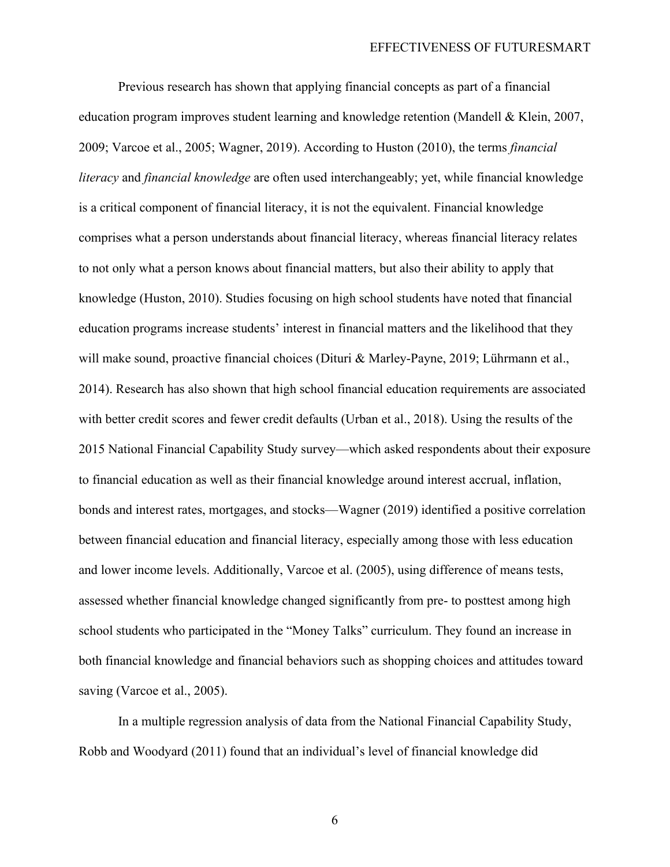Previous research has shown that applying financial concepts as part of a financial education program improves student learning and knowledge retention (Mandell & Klein, 2007, 2009; Varcoe et al., 2005; Wagner, 2019). According to Huston (2010), the terms *financial literacy* and *financial knowledge* are often used interchangeably; yet, while financial knowledge is a critical component of financial literacy, it is not the equivalent. Financial knowledge comprises what a person understands about financial literacy, whereas financial literacy relates to not only what a person knows about financial matters, but also their ability to apply that knowledge (Huston, 2010). Studies focusing on high school students have noted that financial education programs increase students' interest in financial matters and the likelihood that they will make sound, proactive financial choices (Dituri & Marley-Payne, 2019; Lührmann et al., 2014). Research has also shown that high school financial education requirements are associated with better credit scores and fewer credit defaults (Urban et al., 2018). Using the results of the 2015 National Financial Capability Study survey—which asked respondents about their exposure to financial education as well as their financial knowledge around interest accrual, inflation, bonds and interest rates, mortgages, and stocks—Wagner (2019) identified a positive correlation between financial education and financial literacy, especially among those with less education and lower income levels. Additionally, Varcoe et al. (2005), using difference of means tests, assessed whether financial knowledge changed significantly from pre- to posttest among high school students who participated in the "Money Talks" curriculum. They found an increase in both financial knowledge and financial behaviors such as shopping choices and attitudes toward saving (Varcoe et al., 2005).

In a multiple regression analysis of data from the National Financial Capability Study, Robb and Woodyard (2011) found that an individual's level of financial knowledge did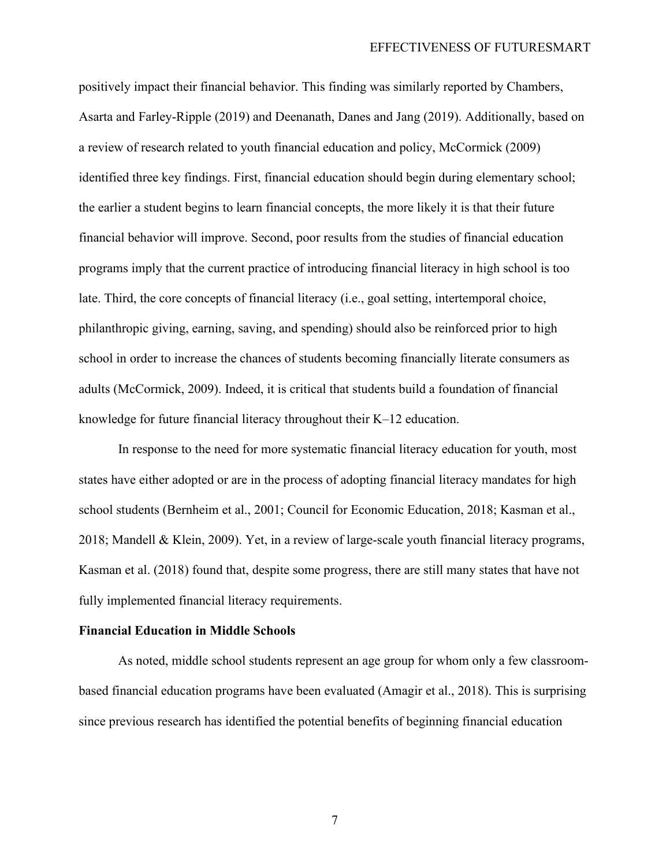#### EFFECTIVENESS OF FUTURESMART

positively impact their financial behavior. This finding was similarly reported by Chambers, Asarta and Farley-Ripple (2019) and Deenanath, Danes and Jang (2019). Additionally, based on a review of research related to youth financial education and policy, McCormick (2009) identified three key findings. First, financial education should begin during elementary school; the earlier a student begins to learn financial concepts, the more likely it is that their future financial behavior will improve. Second, poor results from the studies of financial education programs imply that the current practice of introducing financial literacy in high school is too late. Third, the core concepts of financial literacy (i.e., goal setting, intertemporal choice, philanthropic giving, earning, saving, and spending) should also be reinforced prior to high school in order to increase the chances of students becoming financially literate consumers as adults (McCormick, 2009). Indeed, it is critical that students build a foundation of financial knowledge for future financial literacy throughout their K–12 education.

In response to the need for more systematic financial literacy education for youth, most states have either adopted or are in the process of adopting financial literacy mandates for high school students (Bernheim et al., 2001; Council for Economic Education, 2018; Kasman et al., 2018; Mandell & Klein, 2009). Yet, in a review of large-scale youth financial literacy programs, Kasman et al. (2018) found that, despite some progress, there are still many states that have not fully implemented financial literacy requirements.

#### **Financial Education in Middle Schools**

As noted, middle school students represent an age group for whom only a few classroombased financial education programs have been evaluated (Amagir et al., 2018). This is surprising since previous research has identified the potential benefits of beginning financial education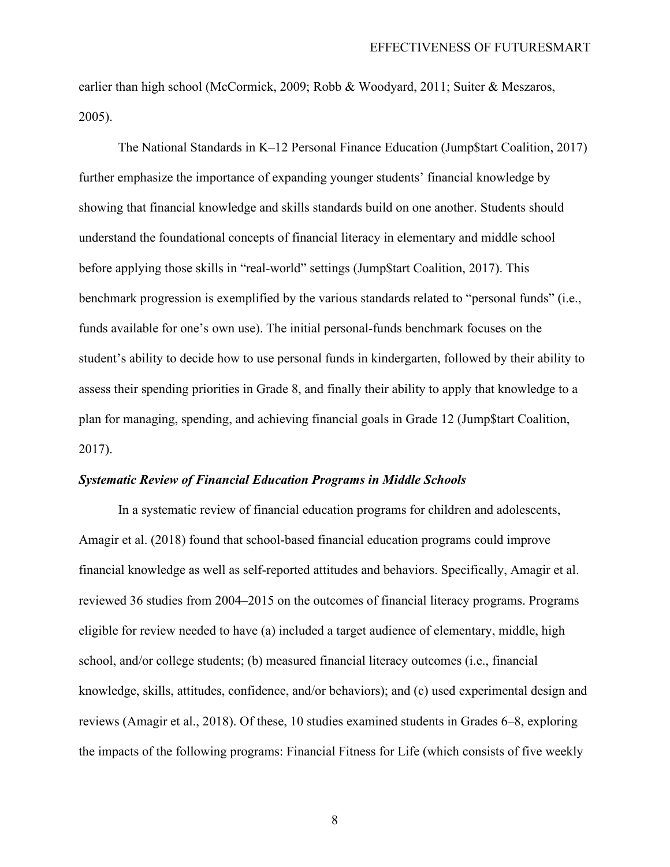earlier than high school (McCormick, 2009; Robb & Woodyard, 2011; Suiter & Meszaros, 2005).

The National Standards in K–12 Personal Finance Education (Jump\$tart Coalition, 2017) further emphasize the importance of expanding younger students' financial knowledge by showing that financial knowledge and skills standards build on one another. Students should understand the foundational concepts of financial literacy in elementary and middle school before applying those skills in "real-world" settings (Jump\$tart Coalition, 2017). This benchmark progression is exemplified by the various standards related to "personal funds" (i.e., funds available for one's own use). The initial personal-funds benchmark focuses on the student's ability to decide how to use personal funds in kindergarten, followed by their ability to assess their spending priorities in Grade 8, and finally their ability to apply that knowledge to a plan for managing, spending, and achieving financial goals in Grade 12 (Jump\$tart Coalition, 2017).

#### *Systematic Review of Financial Education Programs in Middle Schools*

In a systematic review of financial education programs for children and adolescents, Amagir et al. (2018) found that school-based financial education programs could improve financial knowledge as well as self-reported attitudes and behaviors. Specifically, Amagir et al. reviewed 36 studies from 2004–2015 on the outcomes of financial literacy programs. Programs eligible for review needed to have (a) included a target audience of elementary, middle, high school, and/or college students; (b) measured financial literacy outcomes (i.e., financial knowledge, skills, attitudes, confidence, and/or behaviors); and (c) used experimental design and reviews (Amagir et al., 2018). Of these, 10 studies examined students in Grades 6–8, exploring the impacts of the following programs: Financial Fitness for Life (which consists of five weekly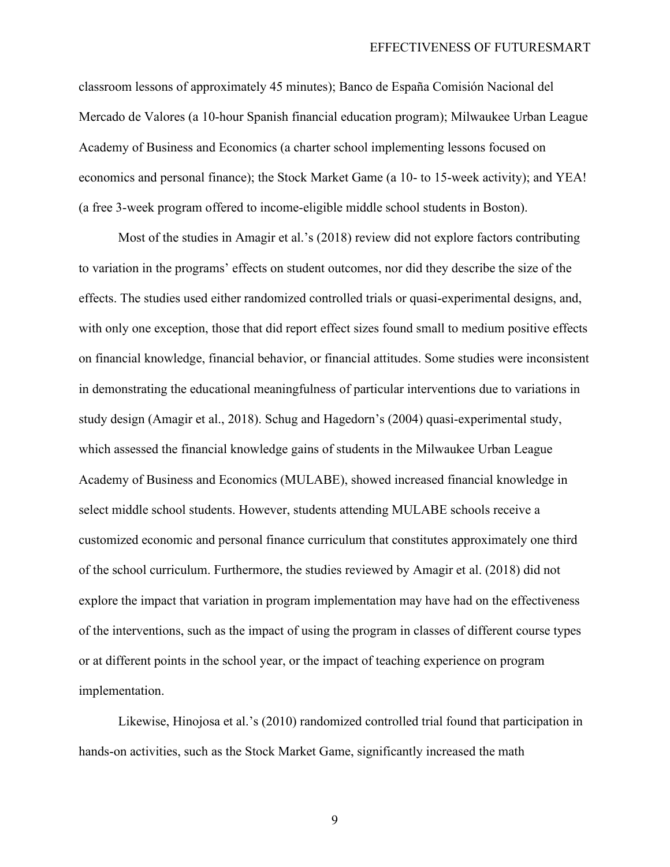classroom lessons of approximately 45 minutes); Banco de España Comisión Nacional del Mercado de Valores (a 10-hour Spanish financial education program); Milwaukee Urban League Academy of Business and Economics (a charter school implementing lessons focused on economics and personal finance); the Stock Market Game (a 10- to 15-week activity); and YEA! (a free 3-week program offered to income-eligible middle school students in Boston).

Most of the studies in Amagir et al.'s (2018) review did not explore factors contributing to variation in the programs' effects on student outcomes, nor did they describe the size of the effects. The studies used either randomized controlled trials or quasi-experimental designs, and, with only one exception, those that did report effect sizes found small to medium positive effects on financial knowledge, financial behavior, or financial attitudes. Some studies were inconsistent in demonstrating the educational meaningfulness of particular interventions due to variations in study design (Amagir et al., 2018). Schug and Hagedorn's (2004) quasi-experimental study, which assessed the financial knowledge gains of students in the Milwaukee Urban League Academy of Business and Economics (MULABE), showed increased financial knowledge in select middle school students. However, students attending MULABE schools receive a customized economic and personal finance curriculum that constitutes approximately one third of the school curriculum. Furthermore, the studies reviewed by Amagir et al. (2018) did not explore the impact that variation in program implementation may have had on the effectiveness of the interventions, such as the impact of using the program in classes of different course types or at different points in the school year, or the impact of teaching experience on program implementation.

Likewise, Hinojosa et al.'s (2010) randomized controlled trial found that participation in hands-on activities, such as the Stock Market Game, significantly increased the math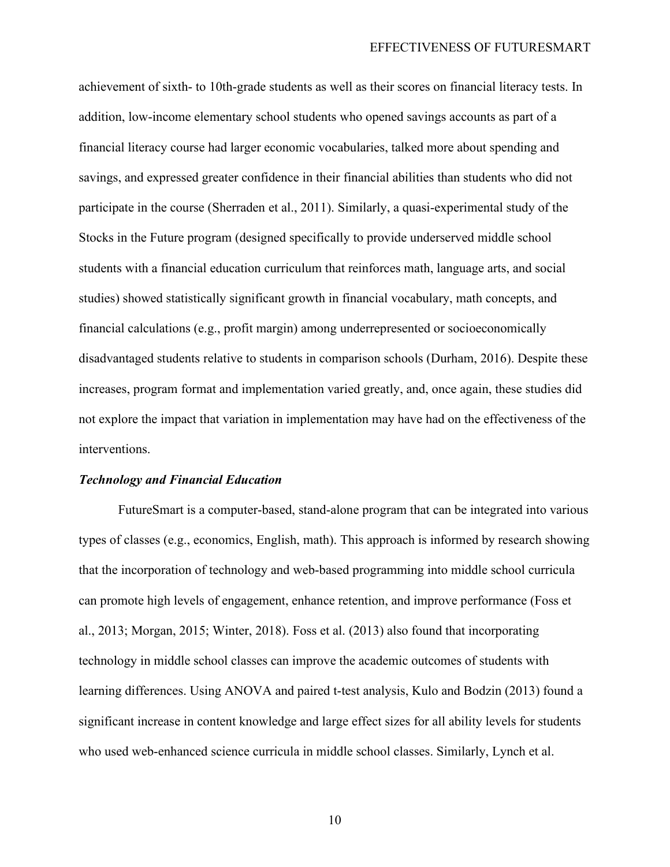achievement of sixth- to 10th-grade students as well as their scores on financial literacy tests. In addition, low-income elementary school students who opened savings accounts as part of a financial literacy course had larger economic vocabularies, talked more about spending and savings, and expressed greater confidence in their financial abilities than students who did not participate in the course (Sherraden et al., 2011). Similarly, a quasi-experimental study of the Stocks in the Future program (designed specifically to provide underserved middle school students with a financial education curriculum that reinforces math, language arts, and social studies) showed statistically significant growth in financial vocabulary, math concepts, and financial calculations (e.g., profit margin) among underrepresented or socioeconomically disadvantaged students relative to students in comparison schools (Durham, 2016). Despite these increases, program format and implementation varied greatly, and, once again, these studies did not explore the impact that variation in implementation may have had on the effectiveness of the interventions.

#### *Technology and Financial Education*

FutureSmart is a computer-based, stand-alone program that can be integrated into various types of classes (e.g., economics, English, math). This approach is informed by research showing that the incorporation of technology and web-based programming into middle school curricula can promote high levels of engagement, enhance retention, and improve performance (Foss et al., 2013; Morgan, 2015; Winter, 2018). Foss et al. (2013) also found that incorporating technology in middle school classes can improve the academic outcomes of students with learning differences. Using ANOVA and paired t-test analysis, Kulo and Bodzin (2013) found a significant increase in content knowledge and large effect sizes for all ability levels for students who used web-enhanced science curricula in middle school classes. Similarly, Lynch et al.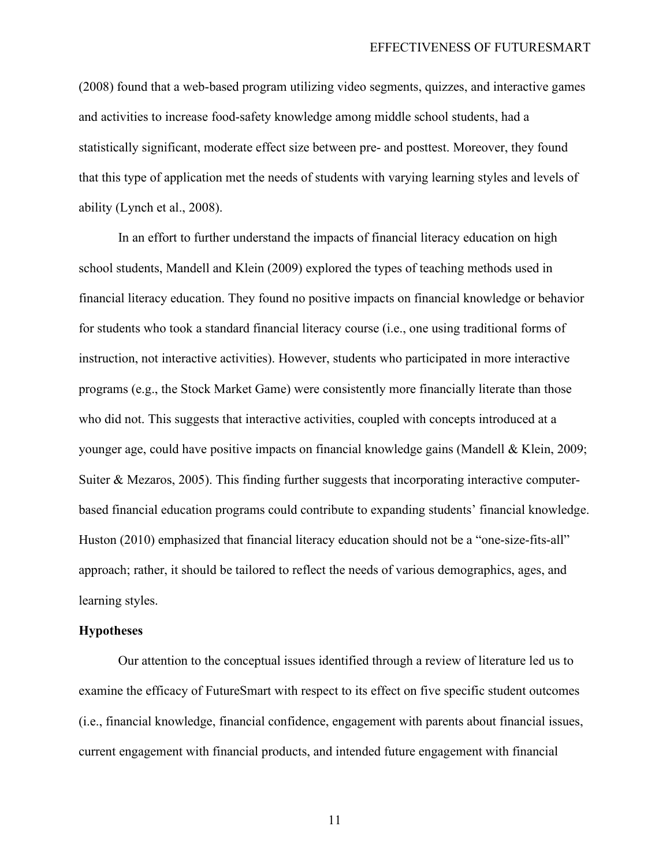(2008) found that a web-based program utilizing video segments, quizzes, and interactive games and activities to increase food-safety knowledge among middle school students, had a statistically significant, moderate effect size between pre- and posttest. Moreover, they found that this type of application met the needs of students with varying learning styles and levels of ability (Lynch et al., 2008).

In an effort to further understand the impacts of financial literacy education on high school students, Mandell and Klein (2009) explored the types of teaching methods used in financial literacy education. They found no positive impacts on financial knowledge or behavior for students who took a standard financial literacy course (i.e., one using traditional forms of instruction, not interactive activities). However, students who participated in more interactive programs (e.g., the Stock Market Game) were consistently more financially literate than those who did not. This suggests that interactive activities, coupled with concepts introduced at a younger age, could have positive impacts on financial knowledge gains (Mandell & Klein, 2009; Suiter & Mezaros, 2005). This finding further suggests that incorporating interactive computerbased financial education programs could contribute to expanding students' financial knowledge. Huston (2010) emphasized that financial literacy education should not be a "one-size-fits-all" approach; rather, it should be tailored to reflect the needs of various demographics, ages, and learning styles.

#### **Hypotheses**

Our attention to the conceptual issues identified through a review of literature led us to examine the efficacy of FutureSmart with respect to its effect on five specific student outcomes (i.e., financial knowledge, financial confidence, engagement with parents about financial issues, current engagement with financial products, and intended future engagement with financial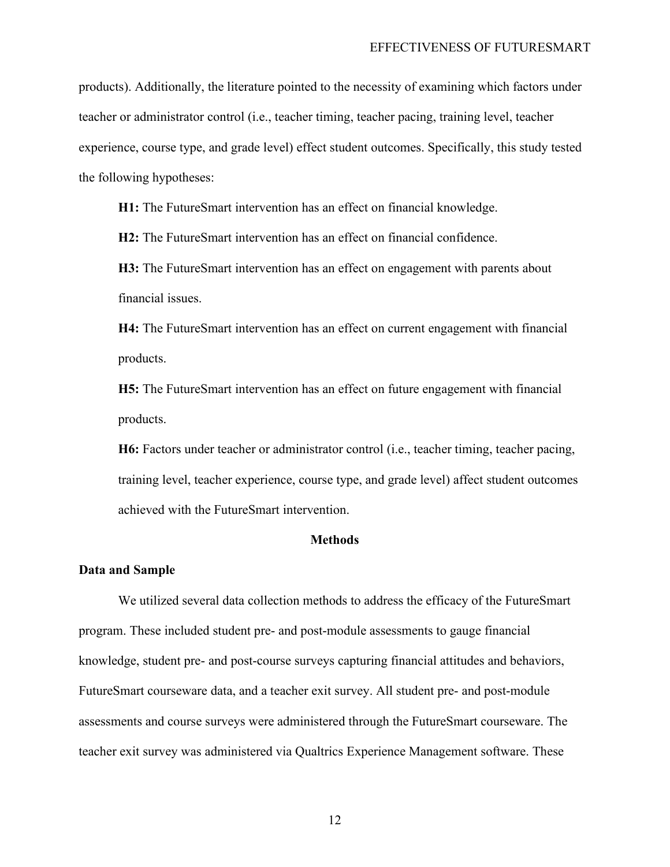products). Additionally, the literature pointed to the necessity of examining which factors under teacher or administrator control (i.e., teacher timing, teacher pacing, training level, teacher experience, course type, and grade level) effect student outcomes. Specifically, this study tested the following hypotheses:

**H1:** The FutureSmart intervention has an effect on financial knowledge.

**H2:** The FutureSmart intervention has an effect on financial confidence.

**H3:** The FutureSmart intervention has an effect on engagement with parents about financial issues.

**H4:** The FutureSmart intervention has an effect on current engagement with financial products.

**H5:** The FutureSmart intervention has an effect on future engagement with financial products.

**H6:** Factors under teacher or administrator control (i.e., teacher timing, teacher pacing, training level, teacher experience, course type, and grade level) affect student outcomes achieved with the FutureSmart intervention.

#### **Methods**

#### **Data and Sample**

We utilized several data collection methods to address the efficacy of the FutureSmart program. These included student pre- and post-module assessments to gauge financial knowledge, student pre- and post-course surveys capturing financial attitudes and behaviors, FutureSmart courseware data, and a teacher exit survey. All student pre- and post-module assessments and course surveys were administered through the FutureSmart courseware. The teacher exit survey was administered via Qualtrics Experience Management software. These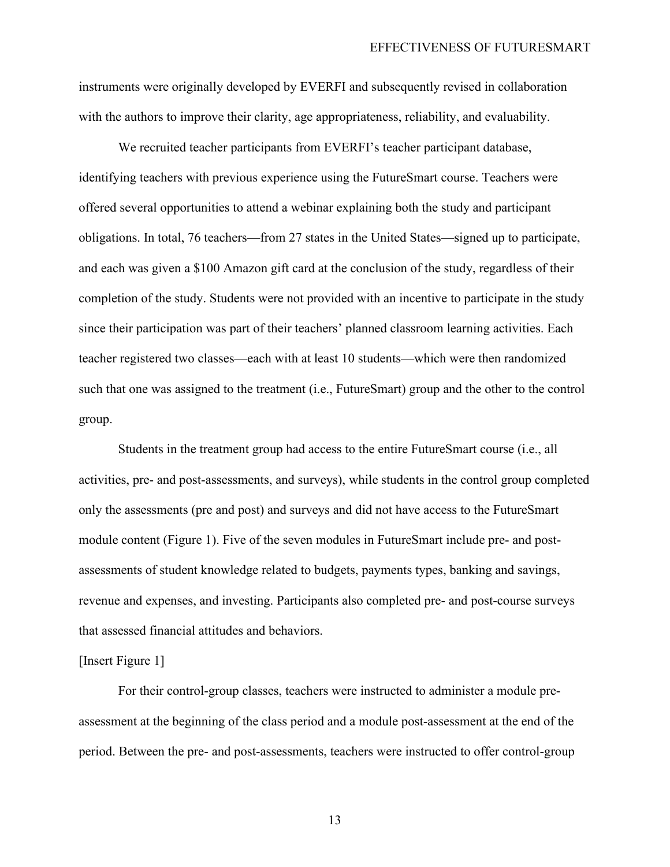instruments were originally developed by EVERFI and subsequently revised in collaboration with the authors to improve their clarity, age appropriateness, reliability, and evaluability.

We recruited teacher participants from EVERFI's teacher participant database, identifying teachers with previous experience using the FutureSmart course. Teachers were offered several opportunities to attend a webinar explaining both the study and participant obligations. In total, 76 teachers—from 27 states in the United States—signed up to participate, and each was given a \$100 Amazon gift card at the conclusion of the study, regardless of their completion of the study. Students were not provided with an incentive to participate in the study since their participation was part of their teachers' planned classroom learning activities. Each teacher registered two classes—each with at least 10 students—which were then randomized such that one was assigned to the treatment (i.e., FutureSmart) group and the other to the control group.

Students in the treatment group had access to the entire FutureSmart course (i.e., all activities, pre- and post-assessments, and surveys), while students in the control group completed only the assessments (pre and post) and surveys and did not have access to the FutureSmart module content (Figure 1). Five of the seven modules in FutureSmart include pre- and postassessments of student knowledge related to budgets, payments types, banking and savings, revenue and expenses, and investing. Participants also completed pre- and post-course surveys that assessed financial attitudes and behaviors.

#### [Insert Figure 1]

For their control-group classes, teachers were instructed to administer a module preassessment at the beginning of the class period and a module post-assessment at the end of the period. Between the pre- and post-assessments, teachers were instructed to offer control-group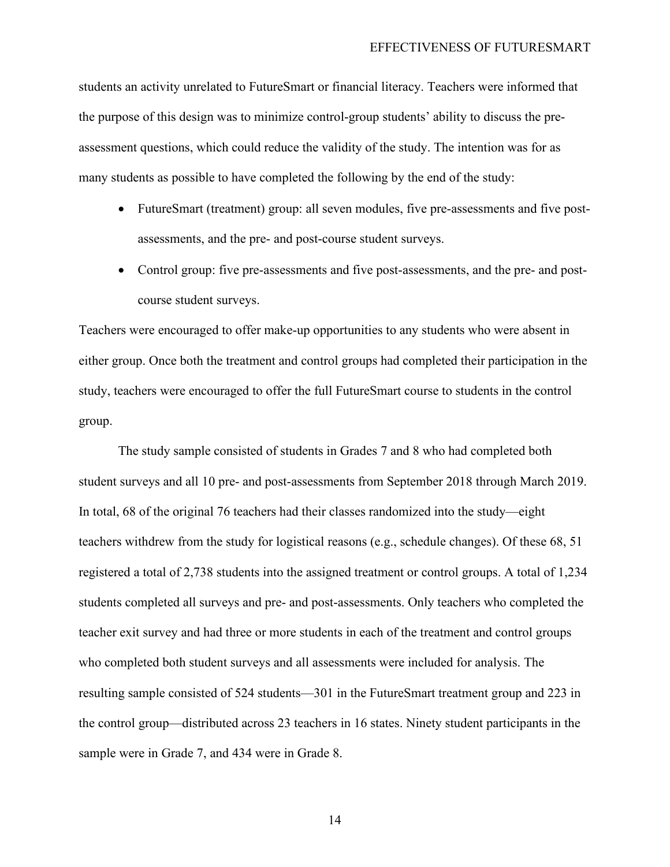students an activity unrelated to FutureSmart or financial literacy. Teachers were informed that the purpose of this design was to minimize control-group students' ability to discuss the preassessment questions, which could reduce the validity of the study. The intention was for as many students as possible to have completed the following by the end of the study:

- FutureSmart (treatment) group: all seven modules, five pre-assessments and five postassessments, and the pre- and post-course student surveys.
- Control group: five pre-assessments and five post-assessments, and the pre- and postcourse student surveys.

Teachers were encouraged to offer make-up opportunities to any students who were absent in either group. Once both the treatment and control groups had completed their participation in the study, teachers were encouraged to offer the full FutureSmart course to students in the control group.

The study sample consisted of students in Grades 7 and 8 who had completed both student surveys and all 10 pre- and post-assessments from September 2018 through March 2019. In total, 68 of the original 76 teachers had their classes randomized into the study—eight teachers withdrew from the study for logistical reasons (e.g., schedule changes). Of these 68, 51 registered a total of 2,738 students into the assigned treatment or control groups. A total of 1,234 students completed all surveys and pre- and post-assessments. Only teachers who completed the teacher exit survey and had three or more students in each of the treatment and control groups who completed both student surveys and all assessments were included for analysis. The resulting sample consisted of 524 students—301 in the FutureSmart treatment group and 223 in the control group—distributed across 23 teachers in 16 states. Ninety student participants in the sample were in Grade 7, and 434 were in Grade 8.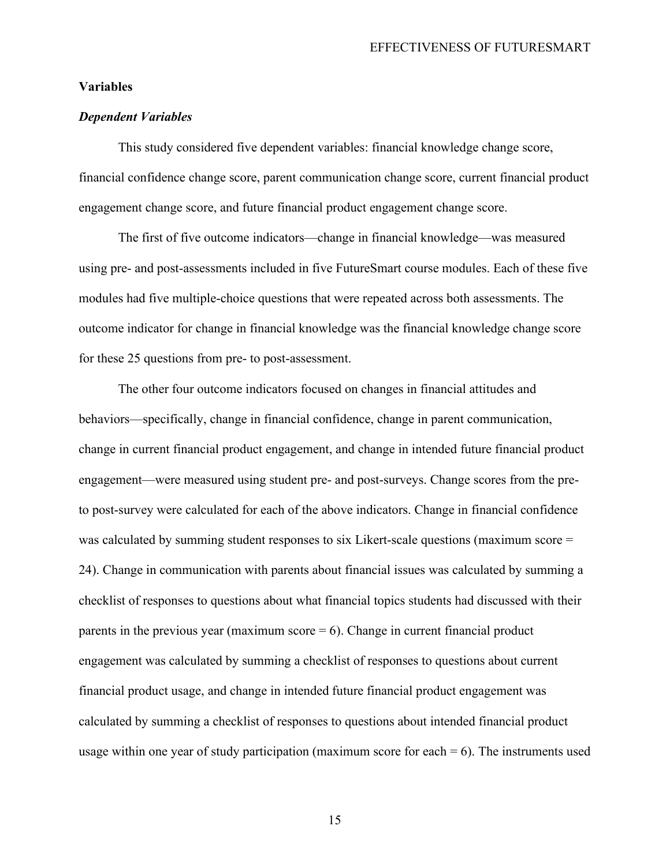#### EFFECTIVENESS OF FUTURESMART

#### **Variables**

#### *Dependent Variables*

This study considered five dependent variables: financial knowledge change score, financial confidence change score, parent communication change score, current financial product engagement change score, and future financial product engagement change score.

The first of five outcome indicators—change in financial knowledge—was measured using pre- and post-assessments included in five FutureSmart course modules. Each of these five modules had five multiple-choice questions that were repeated across both assessments. The outcome indicator for change in financial knowledge was the financial knowledge change score for these 25 questions from pre- to post-assessment.

The other four outcome indicators focused on changes in financial attitudes and behaviors—specifically, change in financial confidence, change in parent communication, change in current financial product engagement, and change in intended future financial product engagement—were measured using student pre- and post-surveys. Change scores from the preto post-survey were calculated for each of the above indicators. Change in financial confidence was calculated by summing student responses to six Likert-scale questions (maximum score = 24). Change in communication with parents about financial issues was calculated by summing a checklist of responses to questions about what financial topics students had discussed with their parents in the previous year (maximum score  $= 6$ ). Change in current financial product engagement was calculated by summing a checklist of responses to questions about current financial product usage, and change in intended future financial product engagement was calculated by summing a checklist of responses to questions about intended financial product usage within one year of study participation (maximum score for each  $= 6$ ). The instruments used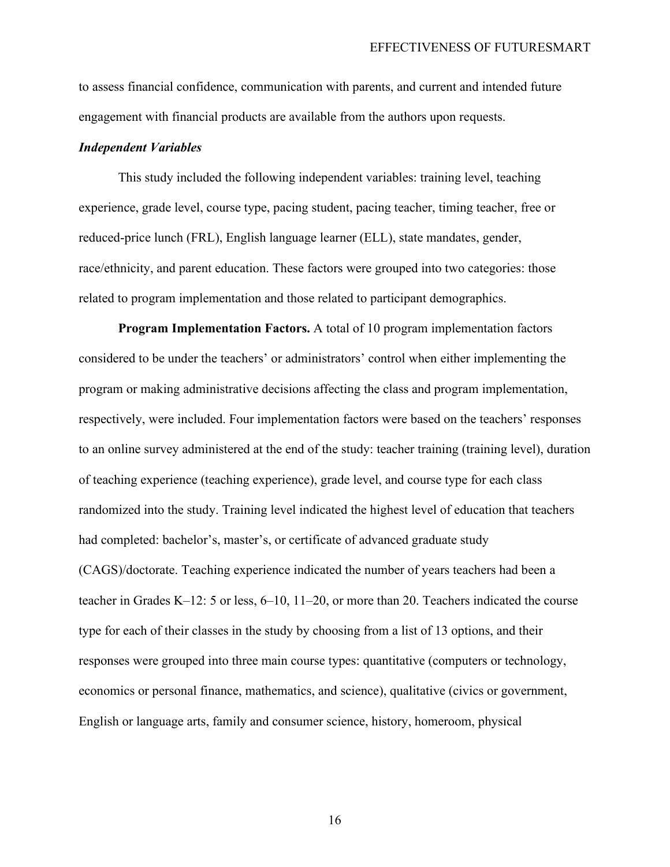to assess financial confidence, communication with parents, and current and intended future engagement with financial products are available from the authors upon requests.

#### *Independent Variables*

This study included the following independent variables: training level, teaching experience, grade level, course type, pacing student, pacing teacher, timing teacher, free or reduced-price lunch (FRL), English language learner (ELL), state mandates, gender, race/ethnicity, and parent education. These factors were grouped into two categories: those related to program implementation and those related to participant demographics.

**Program Implementation Factors.** A total of 10 program implementation factors considered to be under the teachers' or administrators' control when either implementing the program or making administrative decisions affecting the class and program implementation, respectively, were included. Four implementation factors were based on the teachers' responses to an online survey administered at the end of the study: teacher training (training level), duration of teaching experience (teaching experience), grade level, and course type for each class randomized into the study. Training level indicated the highest level of education that teachers had completed: bachelor's, master's, or certificate of advanced graduate study (CAGS)/doctorate. Teaching experience indicated the number of years teachers had been a teacher in Grades K–12: 5 or less, 6–10, 11–20, or more than 20. Teachers indicated the course type for each of their classes in the study by choosing from a list of 13 options, and their responses were grouped into three main course types: quantitative (computers or technology, economics or personal finance, mathematics, and science), qualitative (civics or government, English or language arts, family and consumer science, history, homeroom, physical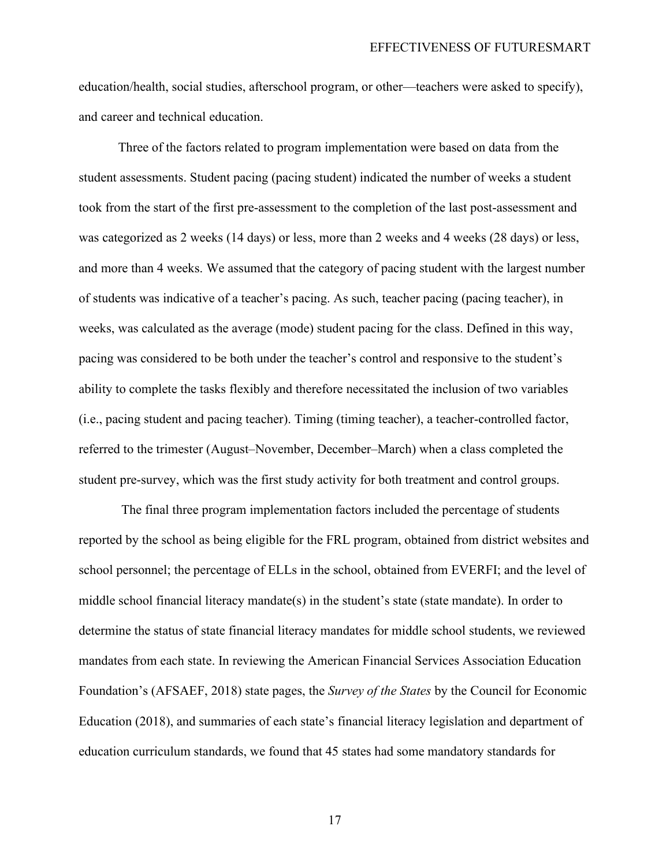education/health, social studies, afterschool program, or other—teachers were asked to specify), and career and technical education.

Three of the factors related to program implementation were based on data from the student assessments. Student pacing (pacing student) indicated the number of weeks a student took from the start of the first pre-assessment to the completion of the last post-assessment and was categorized as 2 weeks (14 days) or less, more than 2 weeks and 4 weeks (28 days) or less, and more than 4 weeks. We assumed that the category of pacing student with the largest number of students was indicative of a teacher's pacing. As such, teacher pacing (pacing teacher), in weeks, was calculated as the average (mode) student pacing for the class. Defined in this way, pacing was considered to be both under the teacher's control and responsive to the student's ability to complete the tasks flexibly and therefore necessitated the inclusion of two variables (i.e., pacing student and pacing teacher). Timing (timing teacher), a teacher-controlled factor, referred to the trimester (August–November, December–March) when a class completed the student pre-survey, which was the first study activity for both treatment and control groups.

The final three program implementation factors included the percentage of students reported by the school as being eligible for the FRL program, obtained from district websites and school personnel; the percentage of ELLs in the school, obtained from EVERFI; and the level of middle school financial literacy mandate(s) in the student's state (state mandate). In order to determine the status of state financial literacy mandates for middle school students, we reviewed mandates from each state. In reviewing the American Financial Services Association Education Foundation's (AFSAEF, 2018) state pages, the *Survey of the States* by the Council for Economic Education (2018), and summaries of each state's financial literacy legislation and department of education curriculum standards, we found that 45 states had some mandatory standards for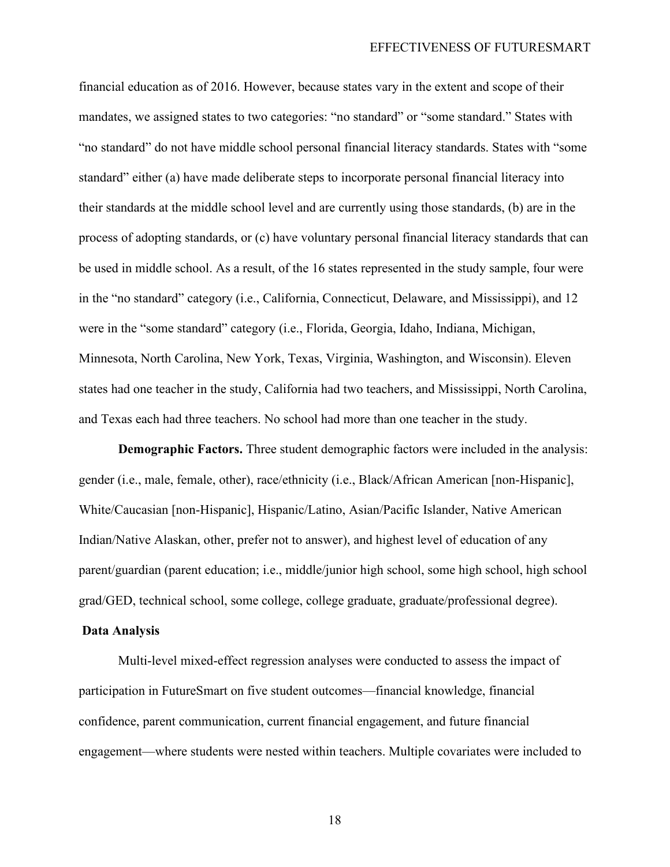financial education as of 2016. However, because states vary in the extent and scope of their mandates, we assigned states to two categories: "no standard" or "some standard." States with "no standard" do not have middle school personal financial literacy standards. States with "some standard" either (a) have made deliberate steps to incorporate personal financial literacy into their standards at the middle school level and are currently using those standards, (b) are in the process of adopting standards, or (c) have voluntary personal financial literacy standards that can be used in middle school. As a result, of the 16 states represented in the study sample, four were in the "no standard" category (i.e., California, Connecticut, Delaware, and Mississippi), and 12 were in the "some standard" category (i.e., Florida, Georgia, Idaho, Indiana, Michigan, Minnesota, North Carolina, New York, Texas, Virginia, Washington, and Wisconsin). Eleven states had one teacher in the study, California had two teachers, and Mississippi, North Carolina, and Texas each had three teachers. No school had more than one teacher in the study.

**Demographic Factors.** Three student demographic factors were included in the analysis: gender (i.e., male, female, other), race/ethnicity (i.e., Black/African American [non-Hispanic], White/Caucasian [non-Hispanic], Hispanic/Latino, Asian/Pacific Islander, Native American Indian/Native Alaskan, other, prefer not to answer), and highest level of education of any parent/guardian (parent education; i.e., middle/junior high school, some high school, high school grad/GED, technical school, some college, college graduate, graduate/professional degree).

#### **Data Analysis**

Multi-level mixed-effect regression analyses were conducted to assess the impact of participation in FutureSmart on five student outcomes—financial knowledge, financial confidence, parent communication, current financial engagement, and future financial engagement—where students were nested within teachers. Multiple covariates were included to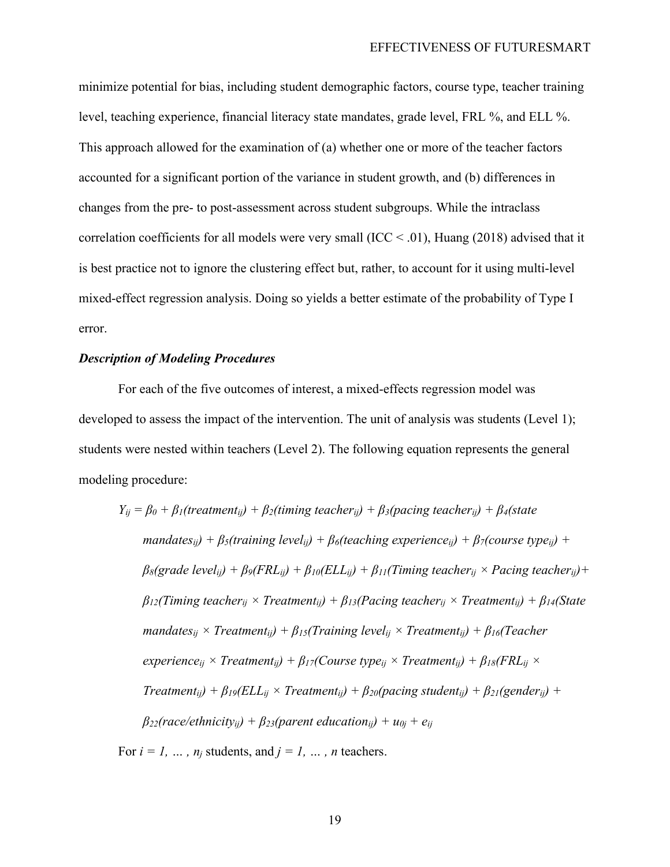minimize potential for bias, including student demographic factors, course type, teacher training level, teaching experience, financial literacy state mandates, grade level, FRL %, and ELL %. This approach allowed for the examination of (a) whether one or more of the teacher factors accounted for a significant portion of the variance in student growth, and (b) differences in changes from the pre- to post-assessment across student subgroups. While the intraclass correlation coefficients for all models were very small (ICC < .01), Huang (2018) advised that it is best practice not to ignore the clustering effect but, rather, to account for it using multi-level mixed-effect regression analysis. Doing so yields a better estimate of the probability of Type I error.

#### *Description of Modeling Procedures*

For each of the five outcomes of interest, a mixed-effects regression model was developed to assess the impact of the intervention. The unit of analysis was students (Level 1); students were nested within teachers (Level 2). The following equation represents the general modeling procedure:

$$
Y_{ij} = \beta_0 + \beta_1(treatment_{ij}) + \beta_2(timing teacher_{ij}) + \beta_3(pacing teacher_{ij}) + \beta_4(state
$$
  

$$
mandates_{ij}) + \beta_5(training level_{ij}) + \beta_6(teaching experience_{ij}) + \beta_7(course type_{ij}) +
$$
  

$$
\beta_8(grade level_{ij}) + \beta_9(FRL_{ij}) + \beta_{10}(ELL_{ij}) + \beta_{11}(Timing teacher_{ij} \times Pacing teacher_{ij}) +
$$
  

$$
\beta_{12}(Timing teacher_{ij} \times Treatment_{ij}) + \beta_{13}(Pacing teacher_{ij} \times Treatment_{ij}) + \beta_{14}(State
$$
  

$$
mandates_{ij} \times Treatment_{ij}) + \beta_{15}(Training level_{ij} \times Treatment_{ij}) + \beta_{16}(Teacher
$$
  

$$
experience_{ij} \times Treatment_{ij}) + \beta_{17}(Course type_{ij} \times Treatment_{ij}) + \beta_{18}(FRL_{ij} \times
$$
  

$$
Treatment_{ij}) + \beta_{19}(ELL_{ij} \times Treatment_{ij}) + \beta_{20}(pacing student_{ij}) + \beta_{21}(gender_{ij}) +
$$
  

$$
\beta_{22}(race/ethnicity_{ij}) + \beta_{23}(parent education_{ij}) + u_{0j} + e_{ij}
$$

For  $i = 1, ..., n_j$  students, and  $j = 1, ..., n$  teachers.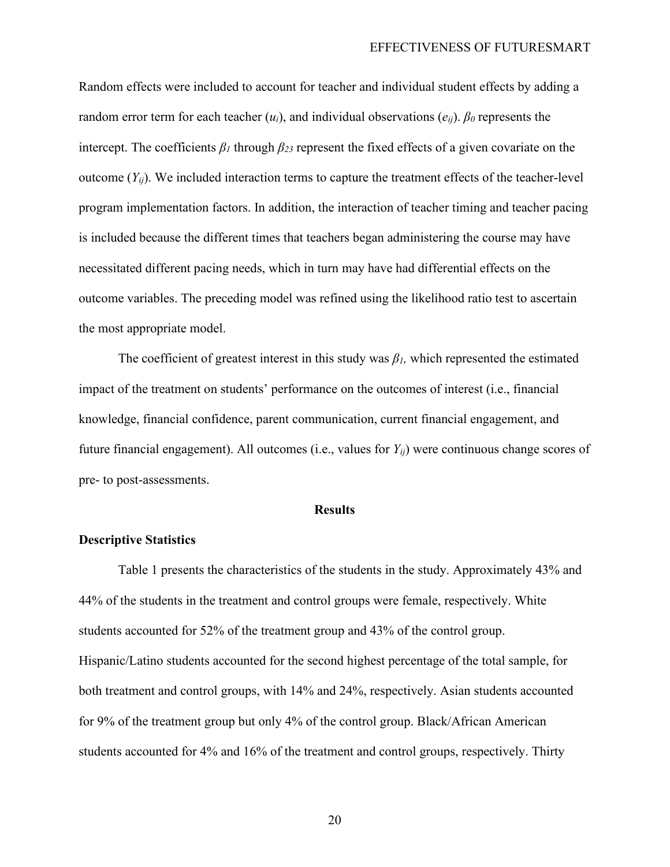Random effects were included to account for teacher and individual student effects by adding a random error term for each teacher (*ui*), and individual observations (*eij*). *β<sup>0</sup>* represents the intercept. The coefficients  $\beta_l$  through  $\beta_{23}$  represent the fixed effects of a given covariate on the outcome  $(Y_{ij})$ . We included interaction terms to capture the treatment effects of the teacher-level program implementation factors. In addition, the interaction of teacher timing and teacher pacing is included because the different times that teachers began administering the course may have necessitated different pacing needs, which in turn may have had differential effects on the outcome variables. The preceding model was refined using the likelihood ratio test to ascertain the most appropriate model.

The coefficient of greatest interest in this study was *β1,* which represented the estimated impact of the treatment on students' performance on the outcomes of interest (i.e., financial knowledge, financial confidence, parent communication, current financial engagement, and future financial engagement). All outcomes (i.e., values for *Yij*) were continuous change scores of pre- to post-assessments.

#### **Results**

#### **Descriptive Statistics**

Table 1 presents the characteristics of the students in the study. Approximately 43% and 44% of the students in the treatment and control groups were female, respectively. White students accounted for 52% of the treatment group and 43% of the control group. Hispanic/Latino students accounted for the second highest percentage of the total sample, for both treatment and control groups, with 14% and 24%, respectively. Asian students accounted for 9% of the treatment group but only 4% of the control group. Black/African American students accounted for 4% and 16% of the treatment and control groups, respectively. Thirty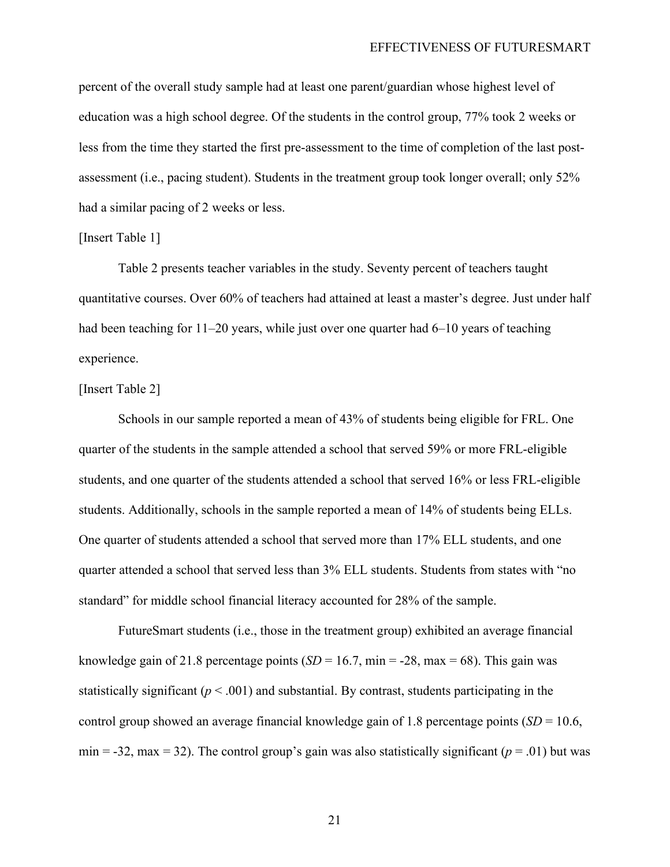percent of the overall study sample had at least one parent/guardian whose highest level of education was a high school degree. Of the students in the control group, 77% took 2 weeks or less from the time they started the first pre-assessment to the time of completion of the last postassessment (i.e., pacing student). Students in the treatment group took longer overall; only 52% had a similar pacing of 2 weeks or less.

#### [Insert Table 1]

Table 2 presents teacher variables in the study. Seventy percent of teachers taught quantitative courses. Over 60% of teachers had attained at least a master's degree. Just under half had been teaching for 11–20 years, while just over one quarter had 6–10 years of teaching experience.

#### [Insert Table 2]

Schools in our sample reported a mean of 43% of students being eligible for FRL. One quarter of the students in the sample attended a school that served 59% or more FRL-eligible students, and one quarter of the students attended a school that served 16% or less FRL-eligible students. Additionally, schools in the sample reported a mean of 14% of students being ELLs. One quarter of students attended a school that served more than 17% ELL students, and one quarter attended a school that served less than 3% ELL students. Students from states with "no standard" for middle school financial literacy accounted for 28% of the sample.

FutureSmart students (i.e., those in the treatment group) exhibited an average financial knowledge gain of 21.8 percentage points  $(SD = 16.7, \text{min} = -28, \text{max} = 68)$ . This gain was statistically significant ( $p < .001$ ) and substantial. By contrast, students participating in the control group showed an average financial knowledge gain of 1.8 percentage points (*SD* = 10.6, min = -32, max = 32). The control group's gain was also statistically significant ( $p = .01$ ) but was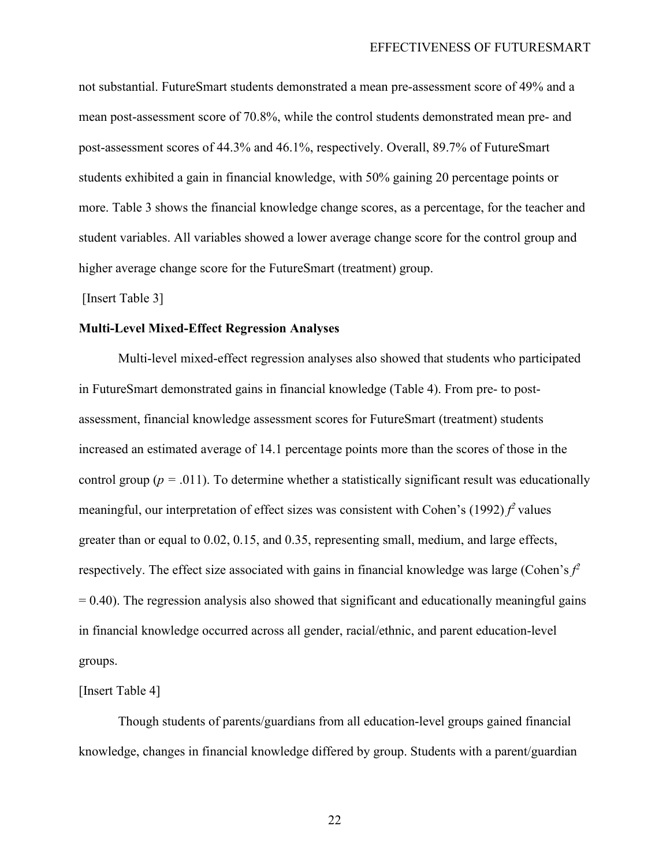not substantial. FutureSmart students demonstrated a mean pre-assessment score of 49% and a mean post-assessment score of 70.8%, while the control students demonstrated mean pre- and post-assessment scores of 44.3% and 46.1%, respectively. Overall, 89.7% of FutureSmart students exhibited a gain in financial knowledge, with 50% gaining 20 percentage points or more. Table 3 shows the financial knowledge change scores, as a percentage, for the teacher and student variables. All variables showed a lower average change score for the control group and higher average change score for the FutureSmart (treatment) group.

[Insert Table 3]

#### **Multi-Level Mixed-Effect Regression Analyses**

Multi-level mixed-effect regression analyses also showed that students who participated in FutureSmart demonstrated gains in financial knowledge (Table 4). From pre- to postassessment, financial knowledge assessment scores for FutureSmart (treatment) students increased an estimated average of 14.1 percentage points more than the scores of those in the control group ( $p = .011$ ). To determine whether a statistically significant result was educationally meaningful, our interpretation of effect sizes was consistent with Cohen's  $(1992) f^2$  values greater than or equal to 0.02, 0.15, and 0.35, representing small, medium, and large effects, respectively. The effect size associated with gains in financial knowledge was large (Cohen's  $f^2$  $= 0.40$ ). The regression analysis also showed that significant and educationally meaningful gains in financial knowledge occurred across all gender, racial/ethnic, and parent education-level groups.

[Insert Table 4]

Though students of parents/guardians from all education-level groups gained financial knowledge, changes in financial knowledge differed by group. Students with a parent/guardian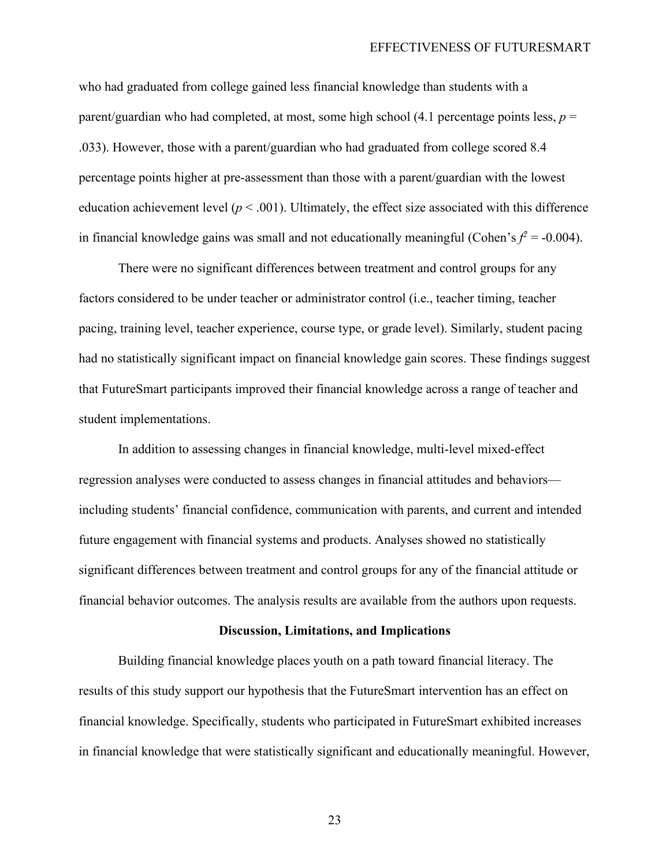who had graduated from college gained less financial knowledge than students with a parent/guardian who had completed, at most, some high school (4.1 percentage points less, *p* = .033). However, those with a parent/guardian who had graduated from college scored 8.4 percentage points higher at pre-assessment than those with a parent/guardian with the lowest education achievement level ( $p < .001$ ). Ultimately, the effect size associated with this difference in financial knowledge gains was small and not educationally meaningful (Cohen's  $f^2 = -0.004$ ).

There were no significant differences between treatment and control groups for any factors considered to be under teacher or administrator control (i.e., teacher timing, teacher pacing, training level, teacher experience, course type, or grade level). Similarly, student pacing had no statistically significant impact on financial knowledge gain scores. These findings suggest that FutureSmart participants improved their financial knowledge across a range of teacher and student implementations.

In addition to assessing changes in financial knowledge, multi-level mixed-effect regression analyses were conducted to assess changes in financial attitudes and behaviors including students' financial confidence, communication with parents, and current and intended future engagement with financial systems and products. Analyses showed no statistically significant differences between treatment and control groups for any of the financial attitude or financial behavior outcomes. The analysis results are available from the authors upon requests.

#### **Discussion, Limitations, and Implications**

Building financial knowledge places youth on a path toward financial literacy. The results of this study support our hypothesis that the FutureSmart intervention has an effect on financial knowledge. Specifically, students who participated in FutureSmart exhibited increases in financial knowledge that were statistically significant and educationally meaningful. However,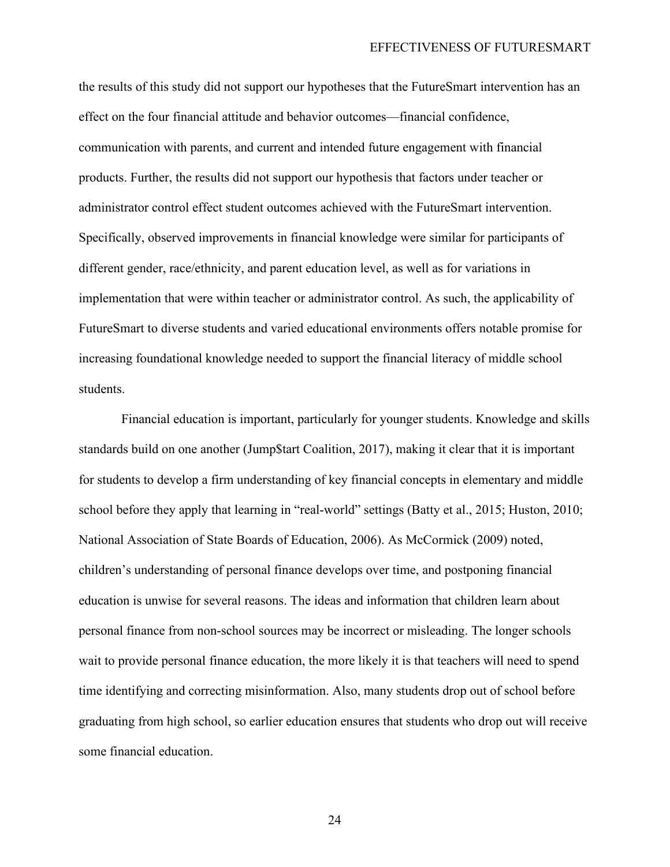the results of this study did not support our hypotheses that the FutureSmart intervention has an effect on the four financial attitude and behavior outcomes—financial confidence, communication with parents, and current and intended future engagement with financial products. Further, the results did not support our hypothesis that factors under teacher or administrator control effect student outcomes achieved with the FutureSmart intervention. Specifically, observed improvements in financial knowledge were similar for participants of different gender, race/ethnicity, and parent education level, as well as for variations in implementation that were within teacher or administrator control. As such, the applicability of FutureSmart to diverse students and varied educational environments offers notable promise for increasing foundational knowledge needed to support the financial literacy of middle school students.

Financial education is important, particularly for younger students. Knowledge and skills standards build on one another (Jump\$tart Coalition, 2017), making it clear that it is important for students to develop a firm understanding of key financial concepts in elementary and middle school before they apply that learning in "real-world" settings (Batty et al., 2015; Huston, 2010; National Association of State Boards of Education, 2006). As McCormick (2009) noted, children's understanding of personal finance develops over time, and postponing financial education is unwise for several reasons. The ideas and information that children learn about personal finance from non-school sources may be incorrect or misleading. The longer schools wait to provide personal finance education, the more likely it is that teachers will need to spend time identifying and correcting misinformation. Also, many students drop out of school before graduating from high school, so earlier education ensures that students who drop out will receive some financial education.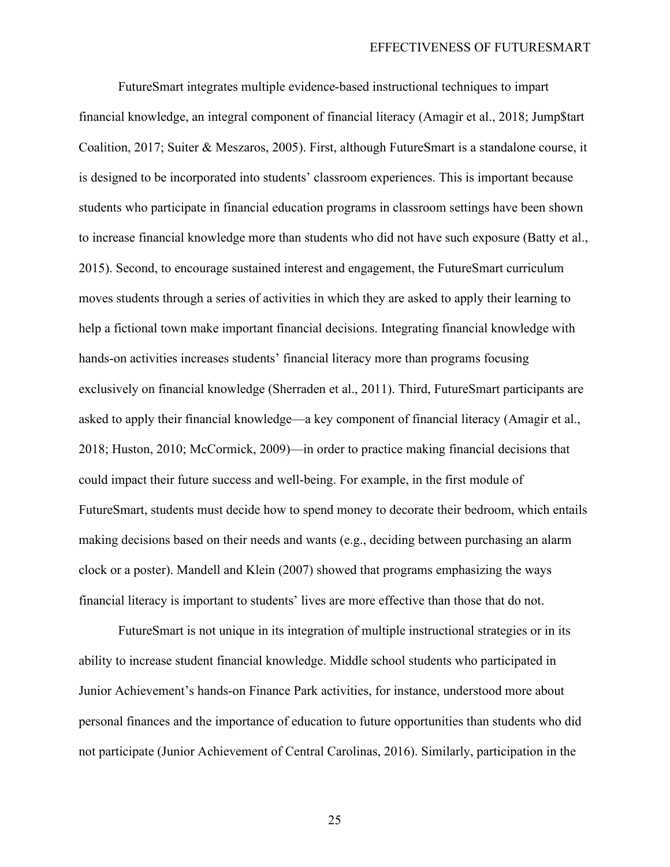FutureSmart integrates multiple evidence-based instructional techniques to impart financial knowledge, an integral component of financial literacy (Amagir et al., 2018; Jump\$tart Coalition, 2017; Suiter & Meszaros, 2005). First, although FutureSmart is a standalone course, it is designed to be incorporated into students' classroom experiences. This is important because students who participate in financial education programs in classroom settings have been shown to increase financial knowledge more than students who did not have such exposure (Batty et al., 2015). Second, to encourage sustained interest and engagement, the FutureSmart curriculum moves students through a series of activities in which they are asked to apply their learning to help a fictional town make important financial decisions. Integrating financial knowledge with hands-on activities increases students' financial literacy more than programs focusing exclusively on financial knowledge (Sherraden et al., 2011). Third, FutureSmart participants are asked to apply their financial knowledge—a key component of financial literacy (Amagir et al., 2018; Huston, 2010; McCormick, 2009)—in order to practice making financial decisions that could impact their future success and well-being. For example, in the first module of FutureSmart, students must decide how to spend money to decorate their bedroom, which entails making decisions based on their needs and wants (e.g., deciding between purchasing an alarm clock or a poster). Mandell and Klein (2007) showed that programs emphasizing the ways financial literacy is important to students' lives are more effective than those that do not.

FutureSmart is not unique in its integration of multiple instructional strategies or in its ability to increase student financial knowledge. Middle school students who participated in Junior Achievement's hands-on Finance Park activities, for instance, understood more about personal finances and the importance of education to future opportunities than students who did not participate (Junior Achievement of Central Carolinas, 2016). Similarly, participation in the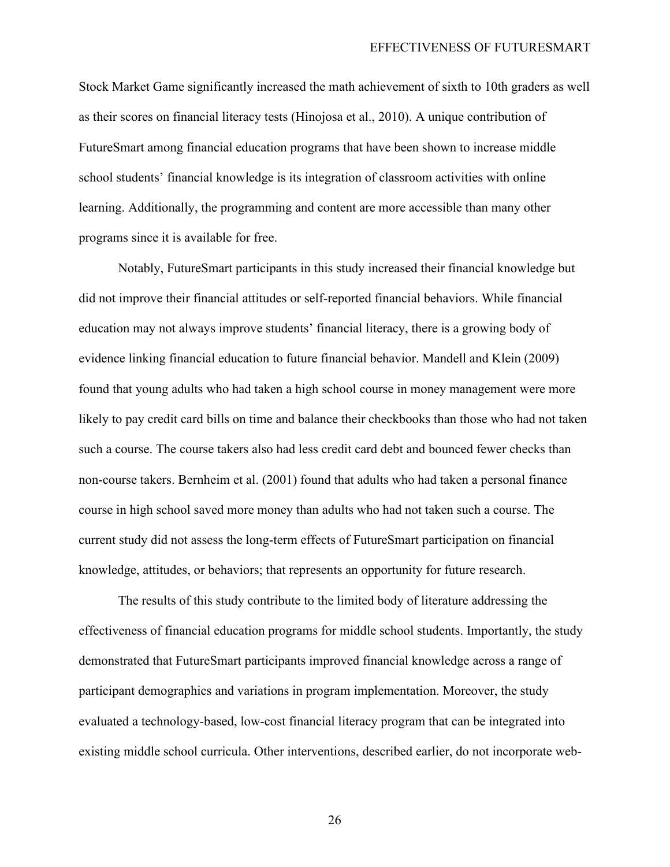Stock Market Game significantly increased the math achievement of sixth to 10th graders as well as their scores on financial literacy tests (Hinojosa et al., 2010). A unique contribution of FutureSmart among financial education programs that have been shown to increase middle school students' financial knowledge is its integration of classroom activities with online learning. Additionally, the programming and content are more accessible than many other programs since it is available for free.

Notably, FutureSmart participants in this study increased their financial knowledge but did not improve their financial attitudes or self-reported financial behaviors. While financial education may not always improve students' financial literacy, there is a growing body of evidence linking financial education to future financial behavior. Mandell and Klein (2009) found that young adults who had taken a high school course in money management were more likely to pay credit card bills on time and balance their checkbooks than those who had not taken such a course. The course takers also had less credit card debt and bounced fewer checks than non-course takers. Bernheim et al. (2001) found that adults who had taken a personal finance course in high school saved more money than adults who had not taken such a course. The current study did not assess the long-term effects of FutureSmart participation on financial knowledge, attitudes, or behaviors; that represents an opportunity for future research.

The results of this study contribute to the limited body of literature addressing the effectiveness of financial education programs for middle school students. Importantly, the study demonstrated that FutureSmart participants improved financial knowledge across a range of participant demographics and variations in program implementation. Moreover, the study evaluated a technology-based, low-cost financial literacy program that can be integrated into existing middle school curricula. Other interventions, described earlier, do not incorporate web-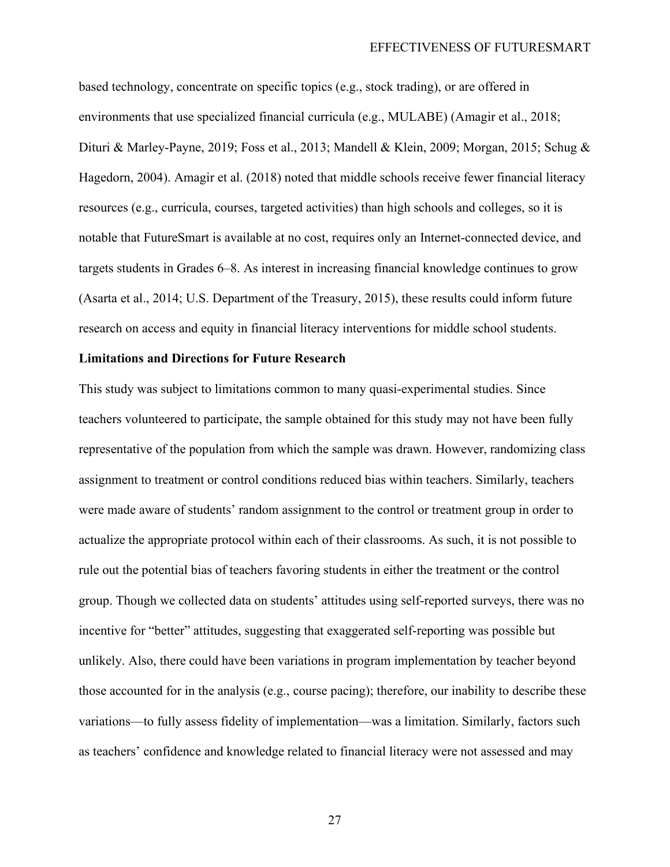based technology, concentrate on specific topics (e.g., stock trading), or are offered in environments that use specialized financial curricula (e.g., MULABE) (Amagir et al., 2018; Dituri & Marley-Payne, 2019; Foss et al., 2013; Mandell & Klein, 2009; Morgan, 2015; Schug & Hagedorn, 2004). Amagir et al. (2018) noted that middle schools receive fewer financial literacy resources (e.g., curricula, courses, targeted activities) than high schools and colleges, so it is notable that FutureSmart is available at no cost, requires only an Internet-connected device, and targets students in Grades 6–8. As interest in increasing financial knowledge continues to grow (Asarta et al., 2014; U.S. Department of the Treasury, 2015), these results could inform future research on access and equity in financial literacy interventions for middle school students.

#### **Limitations and Directions for Future Research**

This study was subject to limitations common to many quasi-experimental studies. Since teachers volunteered to participate, the sample obtained for this study may not have been fully representative of the population from which the sample was drawn. However, randomizing class assignment to treatment or control conditions reduced bias within teachers. Similarly, teachers were made aware of students' random assignment to the control or treatment group in order to actualize the appropriate protocol within each of their classrooms. As such, it is not possible to rule out the potential bias of teachers favoring students in either the treatment or the control group. Though we collected data on students' attitudes using self-reported surveys, there was no incentive for "better" attitudes, suggesting that exaggerated self-reporting was possible but unlikely. Also, there could have been variations in program implementation by teacher beyond those accounted for in the analysis (e.g., course pacing); therefore, our inability to describe these variations—to fully assess fidelity of implementation—was a limitation. Similarly, factors such as teachers' confidence and knowledge related to financial literacy were not assessed and may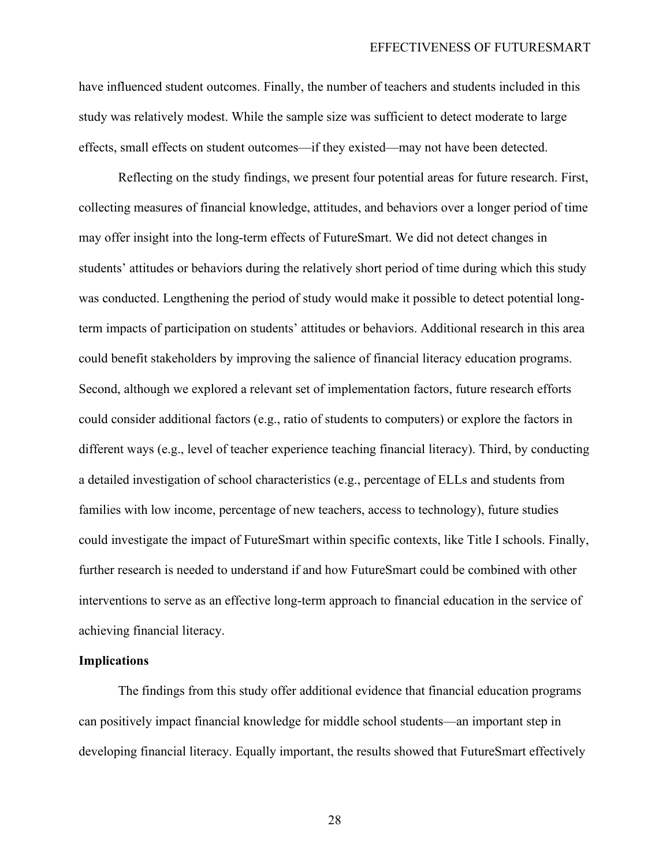have influenced student outcomes. Finally, the number of teachers and students included in this study was relatively modest. While the sample size was sufficient to detect moderate to large effects, small effects on student outcomes—if they existed—may not have been detected.

Reflecting on the study findings, we present four potential areas for future research. First, collecting measures of financial knowledge, attitudes, and behaviors over a longer period of time may offer insight into the long-term effects of FutureSmart. We did not detect changes in students' attitudes or behaviors during the relatively short period of time during which this study was conducted. Lengthening the period of study would make it possible to detect potential longterm impacts of participation on students' attitudes or behaviors. Additional research in this area could benefit stakeholders by improving the salience of financial literacy education programs. Second, although we explored a relevant set of implementation factors, future research efforts could consider additional factors (e.g., ratio of students to computers) or explore the factors in different ways (e.g., level of teacher experience teaching financial literacy). Third, by conducting a detailed investigation of school characteristics (e.g., percentage of ELLs and students from families with low income, percentage of new teachers, access to technology), future studies could investigate the impact of FutureSmart within specific contexts, like Title I schools. Finally, further research is needed to understand if and how FutureSmart could be combined with other interventions to serve as an effective long-term approach to financial education in the service of achieving financial literacy.

#### **Implications**

The findings from this study offer additional evidence that financial education programs can positively impact financial knowledge for middle school students—an important step in developing financial literacy. Equally important, the results showed that FutureSmart effectively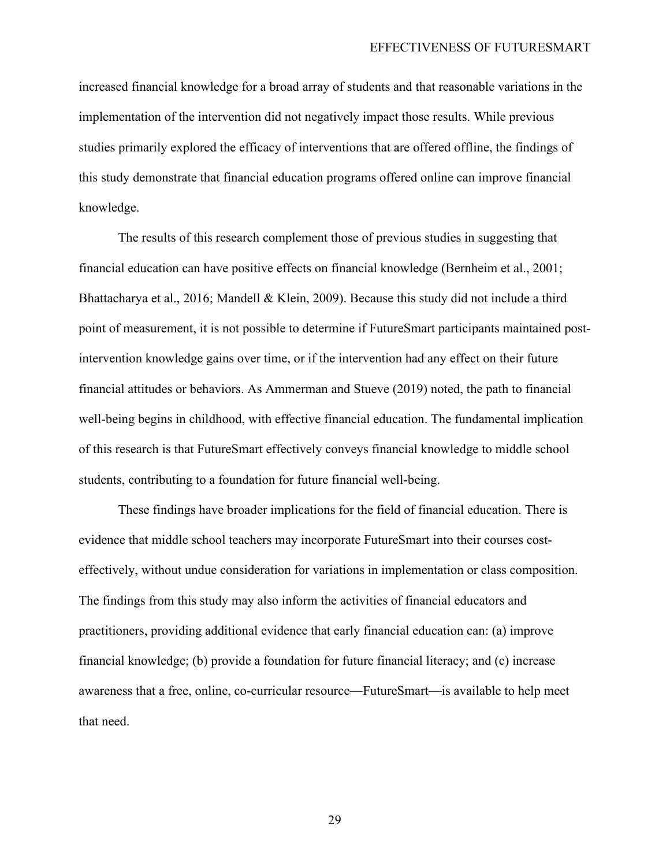increased financial knowledge for a broad array of students and that reasonable variations in the implementation of the intervention did not negatively impact those results. While previous studies primarily explored the efficacy of interventions that are offered offline, the findings of this study demonstrate that financial education programs offered online can improve financial knowledge.

The results of this research complement those of previous studies in suggesting that financial education can have positive effects on financial knowledge (Bernheim et al., 2001; Bhattacharya et al., 2016; Mandell & Klein, 2009). Because this study did not include a third point of measurement, it is not possible to determine if FutureSmart participants maintained postintervention knowledge gains over time, or if the intervention had any effect on their future financial attitudes or behaviors. As Ammerman and Stueve (2019) noted, the path to financial well-being begins in childhood, with effective financial education. The fundamental implication of this research is that FutureSmart effectively conveys financial knowledge to middle school students, contributing to a foundation for future financial well-being.

These findings have broader implications for the field of financial education. There is evidence that middle school teachers may incorporate FutureSmart into their courses costeffectively, without undue consideration for variations in implementation or class composition. The findings from this study may also inform the activities of financial educators and practitioners, providing additional evidence that early financial education can: (a) improve financial knowledge; (b) provide a foundation for future financial literacy; and (c) increase awareness that a free, online, co-curricular resource—FutureSmart—is available to help meet that need.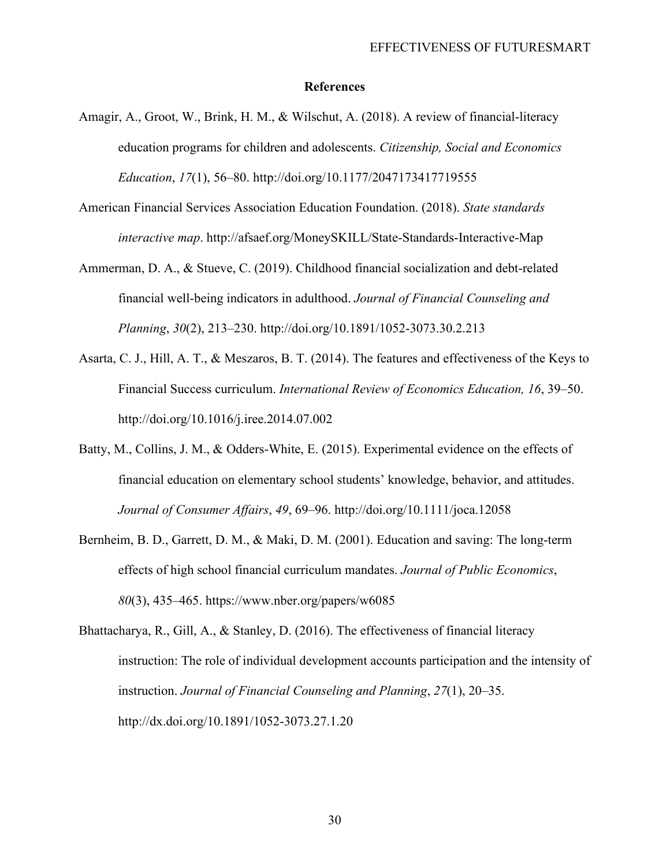#### **References**

- Amagir, A., Groot, W., Brink, H. M., & Wilschut, A. (2018). A review of financial-literacy education programs for children and adolescents. *Citizenship, Social and Economics Education*, *17*(1), 56–80. http://doi.org/10.1177/2047173417719555
- American Financial Services Association Education Foundation. (2018). *State standards interactive map*. http://afsaef.org/MoneySKILL/State-Standards-Interactive-Map
- Ammerman, D. A., & Stueve, C. (2019). Childhood financial socialization and debt-related financial well-being indicators in adulthood. *Journal of Financial Counseling and Planning*, *30*(2), 213–230. http://doi.org/10.1891/1052-3073.30.2.213
- Asarta, C. J., Hill, A. T., & Meszaros, B. T. (2014). The features and effectiveness of the Keys to Financial Success curriculum. *International Review of Economics Education, 16*, 39–50. http://doi.org/10.1016/j.iree.2014.07.002
- Batty, M., Collins, J. M., & Odders-White, E. (2015). Experimental evidence on the effects of financial education on elementary school students' knowledge, behavior, and attitudes. *Journal of Consumer Affairs*, *49*, 69–96. http://doi.org/10.1111/joca.12058
- Bernheim, B. D., Garrett, D. M., & Maki, D. M. (2001). Education and saving: The long-term effects of high school financial curriculum mandates. *Journal of Public Economics*, *80*(3), 435–465. https://www.nber.org/papers/w6085
- Bhattacharya, R., Gill, A., & Stanley, D. (2016). The effectiveness of financial literacy instruction: The role of individual development accounts participation and the intensity of instruction. *Journal of Financial Counseling and Planning*, *27*(1), 20–35. http://dx.doi.org/10.1891/1052-3073.27.1.20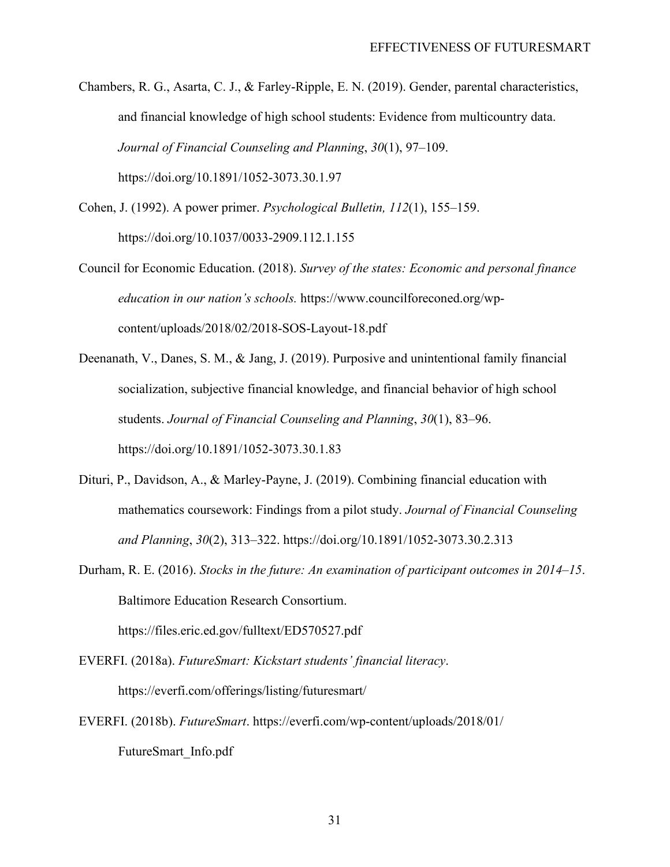Chambers, R. G., Asarta, C. J., & Farley-Ripple, E. N. (2019). Gender, parental characteristics, and financial knowledge of high school students: Evidence from multicountry data. *Journal of Financial Counseling and Planning*, *30*(1), 97–109. https://doi.org/10.1891/1052-3073.30.1.97

- Cohen, J. (1992). A power primer. *Psychological Bulletin, 112*(1), 155–159. https://doi.org/10.1037/0033-2909.112.1.155
- Council for Economic Education. (2018). *Survey of the states: Economic and personal finance education in our nation's schools.* https://www.councilforeconed.org/wpcontent/uploads/2018/02/2018-SOS-Layout-18.pdf
- Deenanath, V., Danes, S. M., & Jang, J. (2019). Purposive and unintentional family financial socialization, subjective financial knowledge, and financial behavior of high school students. *Journal of Financial Counseling and Planning*, *30*(1), 83–96. https://doi.org/10.1891/1052-3073.30.1.83
- Dituri, P., Davidson, A., & Marley-Payne, J. (2019). Combining financial education with mathematics coursework: Findings from a pilot study. *Journal of Financial Counseling and Planning*, *30*(2), 313–322. https://doi.org/10.1891/1052-3073.30.2.313
- Durham, R. E. (2016). *Stocks in the future: An examination of participant outcomes in 2014–15*. Baltimore Education Research Consortium.

https://files.eric.ed.gov/fulltext/ED570527.pdf

EVERFI. (2018a). *FutureSmart: Kickstart students' financial literacy*. https://everfi.com/offerings/listing/futuresmart/

EVERFI. (2018b). *FutureSmart*. https://everfi.com/wp-content/uploads/2018/01/ FutureSmart\_Info.pdf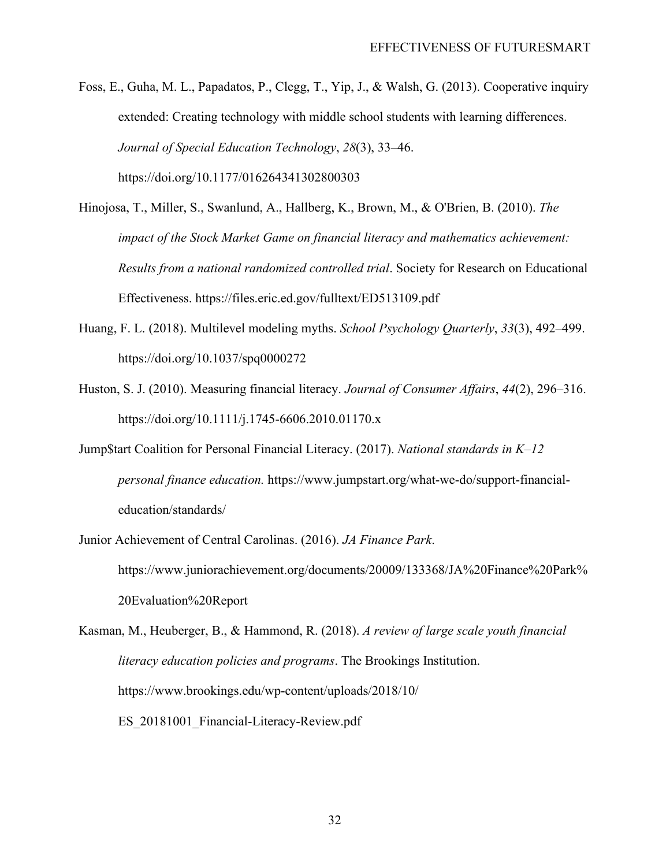Foss, E., Guha, M. L., Papadatos, P., Clegg, T., Yip, J., & Walsh, G. (2013). Cooperative inquiry extended: Creating technology with middle school students with learning differences. *Journal of Special Education Technology*, *28*(3), 33–46. https://doi.org/10.1177/016264341302800303

- Hinojosa, T., Miller, S., Swanlund, A., Hallberg, K., Brown, M., & O'Brien, B. (2010). *The impact of the Stock Market Game on financial literacy and mathematics achievement: Results from a national randomized controlled trial*. Society for Research on Educational Effectiveness. https://files.eric.ed.gov/fulltext/ED513109.pdf
- Huang, F. L. (2018). Multilevel modeling myths. *School Psychology Quarterly*, *33*(3), 492–499. https://doi.org/10.1037/spq0000272
- Huston, S. J. (2010). Measuring financial literacy. *Journal of Consumer Affairs*, *44*(2), 296–316. https://doi.org/10.1111/j.1745-6606.2010.01170.x
- Jump\$tart Coalition for Personal Financial Literacy. (2017). *National standards in K–12 personal finance education.* https://www.jumpstart.org/what-we-do/support-financialeducation/standards/
- Junior Achievement of Central Carolinas. (2016). *JA Finance Park*. https://www.juniorachievement.org/documents/20009/133368/JA%20Finance%20Park% 20Evaluation%20Report
- Kasman, M., Heuberger, B., & Hammond, R. (2018). *A review of large scale youth financial literacy education policies and programs*. The Brookings Institution. https://www.brookings.edu/wp-content/uploads/2018/10/ ES\_20181001\_Financial-Literacy-Review.pdf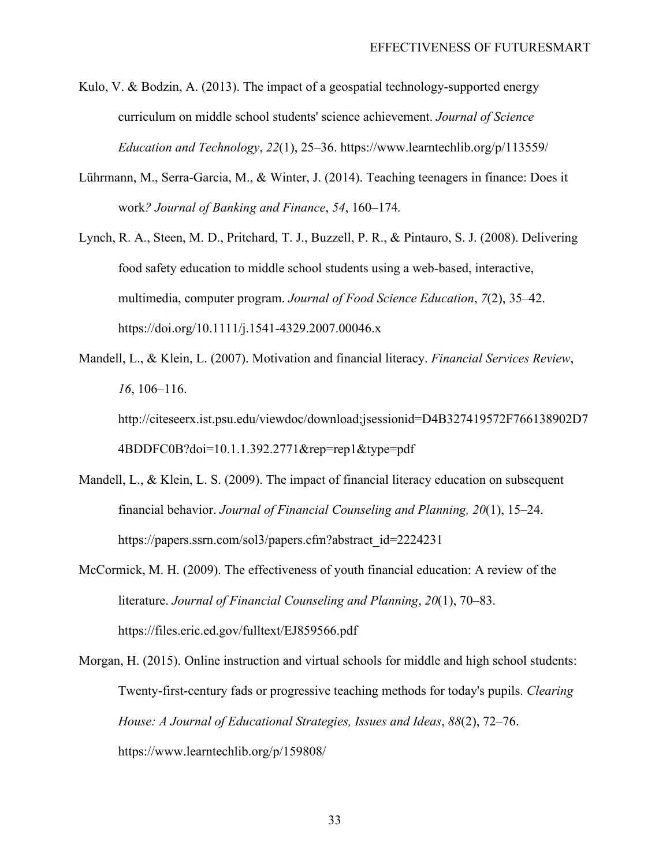- Kulo, V. & Bodzin, A. (2013). The impact of a geospatial technology-supported energy curriculum on middle school students' science achievement. *Journal of Science Education and Technology*, *22*(1), 25–36. https://www.learntechlib.org/p/113559/
- Lührmann, M., Serra-Garcia, M., & Winter, J. (2014). Teaching teenagers in finance: Does it work*? Journal of Banking and Finance*, *54*, 160–174*.*
- Lynch, R. A., Steen, M. D., Pritchard, T. J., Buzzell, P. R., & Pintauro, S. J. (2008). Delivering food safety education to middle school students using a web-based, interactive, multimedia, computer program. *Journal of Food Science Education*, *7*(2), 35–42. https://doi.org/10.1111/j.1541-4329.2007.00046.x
- Mandell, L., & Klein, L. (2007). Motivation and financial literacy. *Financial Services Review*, *16*, 106–116. http://citeseerx.ist.psu.edu/viewdoc/download;jsessionid=D4B327419572F766138902D7

4BDDFC0B?doi=10.1.1.392.2771&rep=rep1&type=pdf

- Mandell, L., & Klein, L. S. (2009). The impact of financial literacy education on subsequent financial behavior. *Journal of Financial Counseling and Planning, 20*(1), 15–24. https://papers.ssrn.com/sol3/papers.cfm?abstract\_id=2224231
- McCormick, M. H. (2009). The effectiveness of youth financial education: A review of the literature. *Journal of Financial Counseling and Planning*, *20*(1), 70–83. https://files.eric.ed.gov/fulltext/EJ859566.pdf
- Morgan, H. (2015). Online instruction and virtual schools for middle and high school students: Twenty-first-century fads or progressive teaching methods for today's pupils. *Clearing House: A Journal of Educational Strategies, Issues and Ideas*, *88*(2), 72–76. https://www.learntechlib.org/p/159808/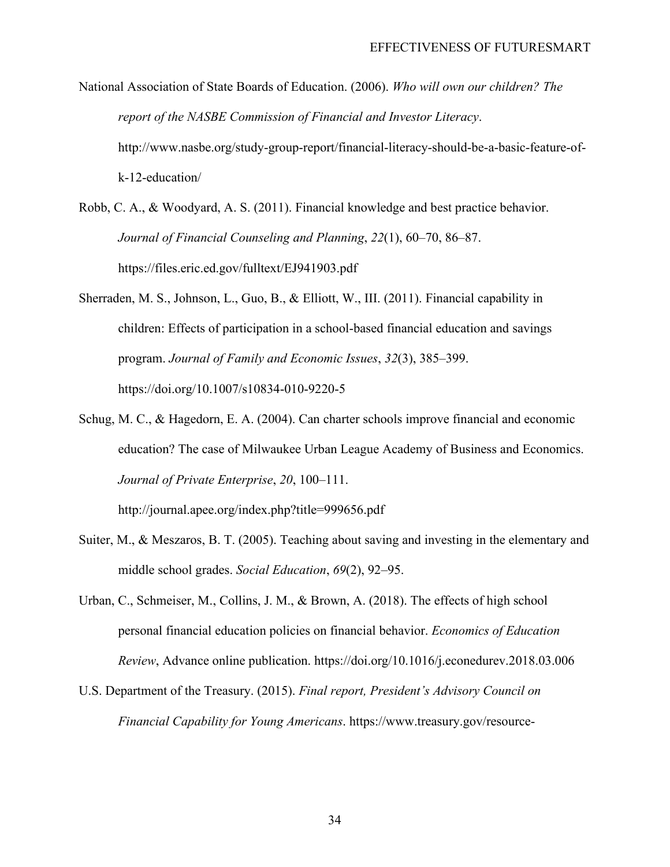National Association of State Boards of Education. (2006). *Who will own our children? The report of the NASBE Commission of Financial and Investor Literacy*. http://www.nasbe.org/study-group-report/financial-literacy-should-be-a-basic-feature-ofk-12-education/

Robb, C. A., & Woodyard, A. S. (2011). Financial knowledge and best practice behavior. *Journal of Financial Counseling and Planning*, *22*(1), 60–70, 86–87. https://files.eric.ed.gov/fulltext/EJ941903.pdf

- Sherraden, M. S., Johnson, L., Guo, B., & Elliott, W., III. (2011). Financial capability in children: Effects of participation in a school-based financial education and savings program. *Journal of Family and Economic Issues*, *32*(3), 385–399. https://doi.org/10.1007/s10834-010-9220-5
- Schug, M. C., & Hagedorn, E. A. (2004). Can charter schools improve financial and economic education? The case of Milwaukee Urban League Academy of Business and Economics. *Journal of Private Enterprise*, *20*, 100–111.

http://journal.apee.org/index.php?title=999656.pdf

- Suiter, M., & Meszaros, B. T. (2005). Teaching about saving and investing in the elementary and middle school grades. *Social Education*, *69*(2), 92–95.
- Urban, C., Schmeiser, M., Collins, J. M., & Brown, A. (2018). The effects of high school personal financial education policies on financial behavior. *Economics of Education Review*, Advance online publication. https://doi.org/10.1016/j.econedurev.2018.03.006
- U.S. Department of the Treasury. (2015). *Final report, President's Advisory Council on Financial Capability for Young Americans*. https://www.treasury.gov/resource-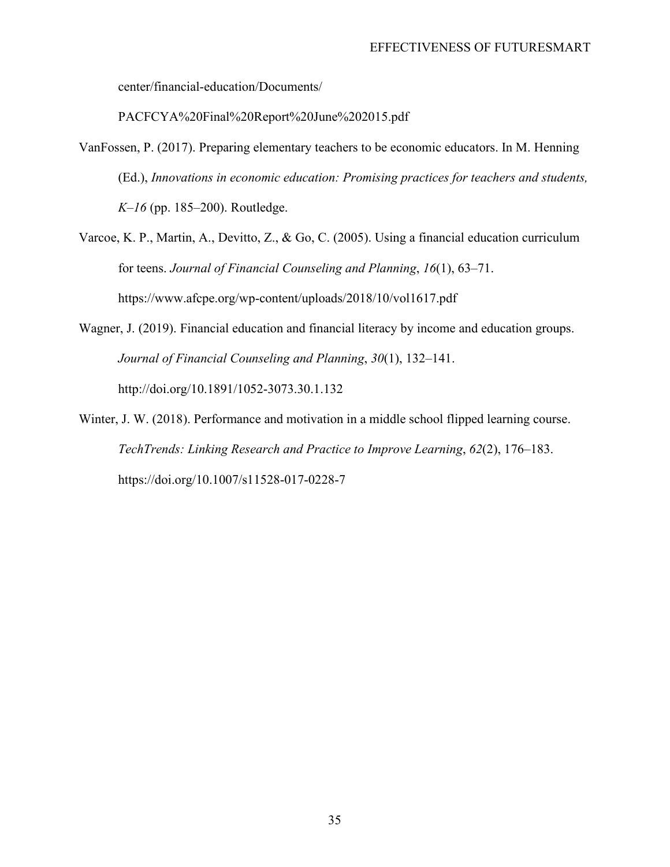center/financial-education/Documents/

PACFCYA%20Final%20Report%20June%202015.pdf

- VanFossen, P. (2017). Preparing elementary teachers to be economic educators. In M. Henning (Ed.), *Innovations in economic education: Promising practices for teachers and students, K–16* (pp. 185–200). Routledge.
- Varcoe, K. P., Martin, A., Devitto, Z., & Go, C. (2005). Using a financial education curriculum for teens. *Journal of Financial Counseling and Planning*, *16*(1), 63–71. https://www.afcpe.org/wp-content/uploads/2018/10/vol1617.pdf
- Wagner, J. (2019). Financial education and financial literacy by income and education groups. *Journal of Financial Counseling and Planning*, *30*(1), 132–141. http://doi.org/10.1891/1052-3073.30.1.132
- Winter, J. W. (2018). Performance and motivation in a middle school flipped learning course. *TechTrends: Linking Research and Practice to Improve Learning*, *62*(2), 176–183. https://doi.org/10.1007/s11528-017-0228-7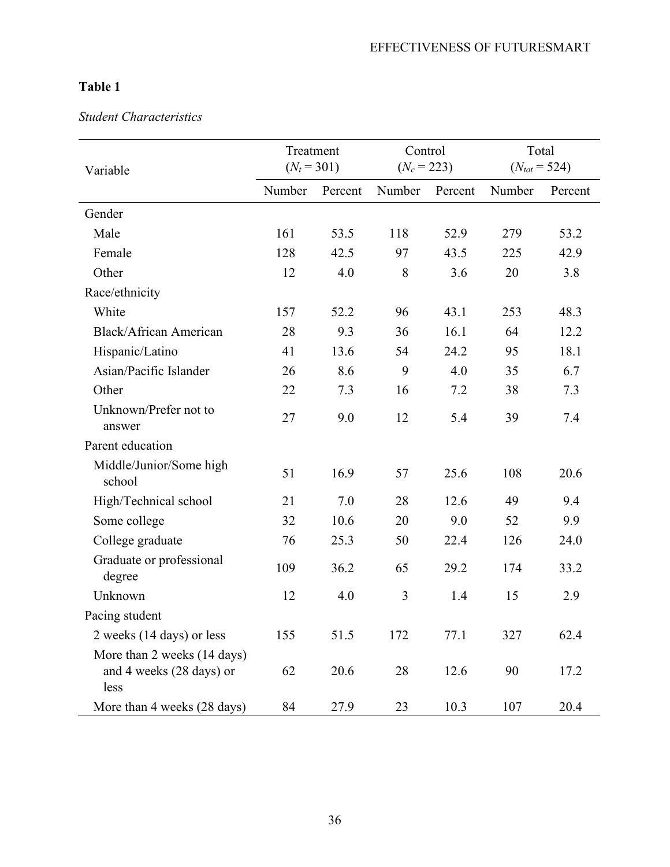### *Student Characteristics*

| Variable                                                        | Treatment<br>$(N_t = 301)$ |         | Control<br>$(N_c = 223)$ |         | Total<br>$(N_{tot} = 524)$ |         |
|-----------------------------------------------------------------|----------------------------|---------|--------------------------|---------|----------------------------|---------|
|                                                                 | Number                     | Percent | Number                   | Percent | Number                     | Percent |
| Gender                                                          |                            |         |                          |         |                            |         |
| Male                                                            | 161                        | 53.5    | 118                      | 52.9    | 279                        | 53.2    |
| Female                                                          | 128                        | 42.5    | 97                       | 43.5    | 225                        | 42.9    |
| Other                                                           | 12                         | 4.0     | 8                        | 3.6     | 20                         | 3.8     |
| Race/ethnicity                                                  |                            |         |                          |         |                            |         |
| White                                                           | 157                        | 52.2    | 96                       | 43.1    | 253                        | 48.3    |
| Black/African American                                          | 28                         | 9.3     | 36                       | 16.1    | 64                         | 12.2    |
| Hispanic/Latino                                                 | 41                         | 13.6    | 54                       | 24.2    | 95                         | 18.1    |
| Asian/Pacific Islander                                          | 26                         | 8.6     | 9                        | 4.0     | 35                         | 6.7     |
| Other                                                           | 22                         | 7.3     | 16                       | 7.2     | 38                         | 7.3     |
| Unknown/Prefer not to<br>answer                                 | 27                         | 9.0     | 12                       | 5.4     | 39                         | 7.4     |
| Parent education                                                |                            |         |                          |         |                            |         |
| Middle/Junior/Some high<br>school                               | 51                         | 16.9    | 57                       | 25.6    | 108                        | 20.6    |
| High/Technical school                                           | 21                         | 7.0     | 28                       | 12.6    | 49                         | 9.4     |
| Some college                                                    | 32                         | 10.6    | 20                       | 9.0     | 52                         | 9.9     |
| College graduate                                                | 76                         | 25.3    | 50                       | 22.4    | 126                        | 24.0    |
| Graduate or professional<br>degree                              | 109                        | 36.2    | 65                       | 29.2    | 174                        | 33.2    |
| Unknown                                                         | 12                         | 4.0     | 3                        | 1.4     | 15                         | 2.9     |
| Pacing student                                                  |                            |         |                          |         |                            |         |
| 2 weeks (14 days) or less                                       | 155                        | 51.5    | 172                      | 77.1    | 327                        | 62.4    |
| More than 2 weeks (14 days)<br>and 4 weeks (28 days) or<br>less | 62                         | 20.6    | 28                       | 12.6    | 90                         | 17.2    |
| More than 4 weeks (28 days)                                     | 84                         | 27.9    | 23                       | 10.3    | 107                        | 20.4    |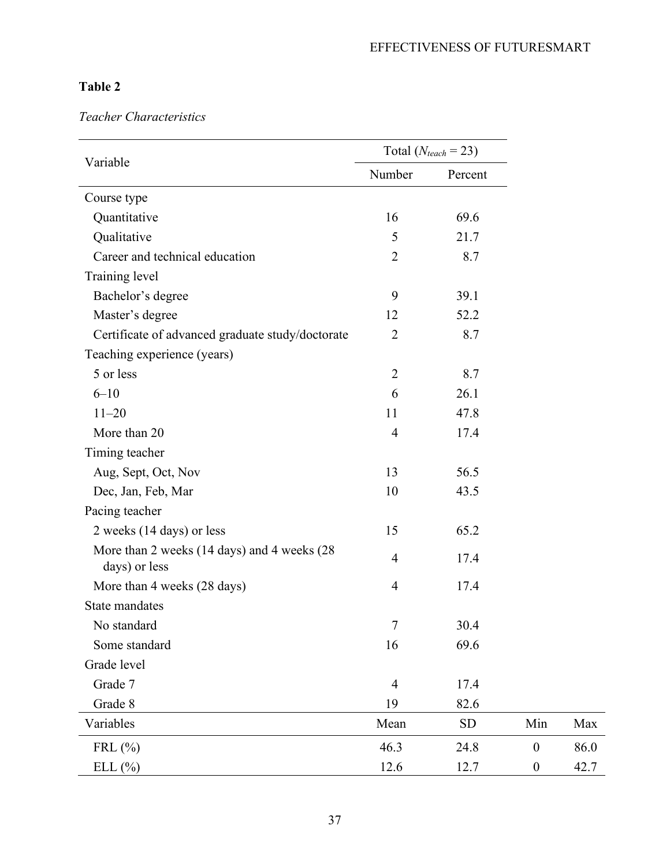*Teacher Characteristics*

|                                                              | Total ( $N_{teach} = 23$ ) |           |                  |      |
|--------------------------------------------------------------|----------------------------|-----------|------------------|------|
| Variable                                                     | Number                     | Percent   |                  |      |
| Course type                                                  |                            |           |                  |      |
| Quantitative                                                 | 16                         | 69.6      |                  |      |
| Qualitative                                                  | 5                          | 21.7      |                  |      |
| Career and technical education                               | $\overline{2}$             | 8.7       |                  |      |
| Training level                                               |                            |           |                  |      |
| Bachelor's degree                                            | 9                          | 39.1      |                  |      |
| Master's degree                                              | 12                         | 52.2      |                  |      |
| Certificate of advanced graduate study/doctorate             | $\overline{2}$             | 8.7       |                  |      |
| Teaching experience (years)                                  |                            |           |                  |      |
| 5 or less                                                    | $\overline{2}$             | 8.7       |                  |      |
| $6 - 10$                                                     | 6                          | 26.1      |                  |      |
| $11 - 20$                                                    | 11                         | 47.8      |                  |      |
| More than 20                                                 | $\overline{4}$             | 17.4      |                  |      |
| Timing teacher                                               |                            |           |                  |      |
| Aug, Sept, Oct, Nov                                          | 13                         | 56.5      |                  |      |
| Dec, Jan, Feb, Mar                                           | 10                         | 43.5      |                  |      |
| Pacing teacher                                               |                            |           |                  |      |
| 2 weeks (14 days) or less                                    | 15                         | 65.2      |                  |      |
| More than 2 weeks (14 days) and 4 weeks (28<br>days) or less | $\overline{4}$             | 17.4      |                  |      |
| More than 4 weeks (28 days)                                  | $\overline{4}$             | 17.4      |                  |      |
| State mandates                                               |                            |           |                  |      |
| No standard                                                  | 7                          | 30.4      |                  |      |
| Some standard                                                | 16                         | 69.6      |                  |      |
| Grade level                                                  |                            |           |                  |      |
| Grade 7                                                      | $\overline{4}$             | 17.4      |                  |      |
| Grade 8                                                      | 19                         | 82.6      |                  |      |
| Variables                                                    | Mean                       | <b>SD</b> | Min              | Max  |
| FRL $(\% )$                                                  | 46.3                       | 24.8      | $\boldsymbol{0}$ | 86.0 |
| ELL(%)                                                       | 12.6                       | 12.7      | $\boldsymbol{0}$ | 42.7 |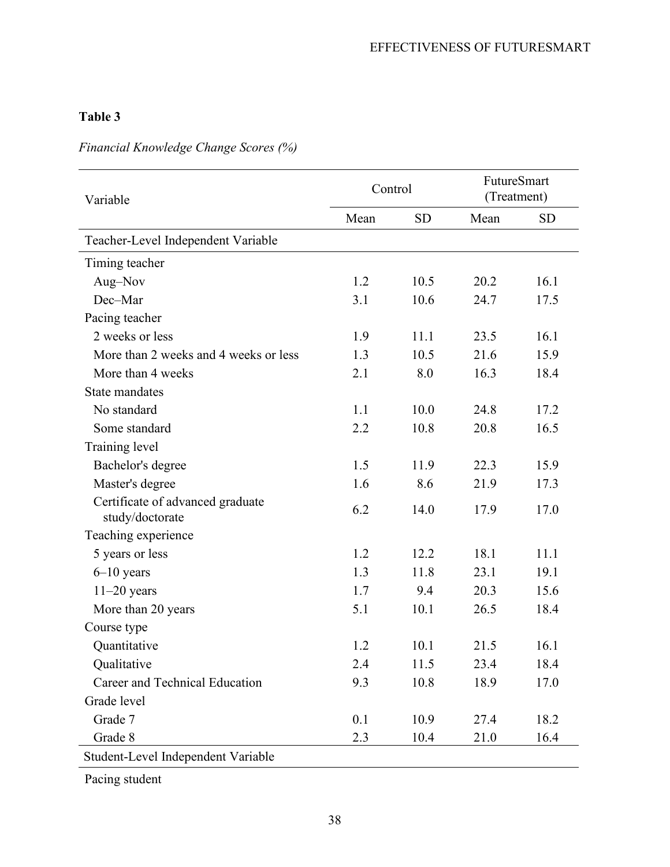# *Financial Knowledge Change Scores (%)*

| Variable                                            | Control |           | FutureSmart<br>(Treatment) |           |
|-----------------------------------------------------|---------|-----------|----------------------------|-----------|
|                                                     | Mean    | <b>SD</b> | Mean                       | <b>SD</b> |
| Teacher-Level Independent Variable                  |         |           |                            |           |
| Timing teacher                                      |         |           |                            |           |
| Aug-Nov                                             | 1.2     | 10.5      | 20.2                       | 16.1      |
| Dec-Mar                                             | 3.1     | 10.6      | 24.7                       | 17.5      |
| Pacing teacher                                      |         |           |                            |           |
| 2 weeks or less                                     | 1.9     | 11.1      | 23.5                       | 16.1      |
| More than 2 weeks and 4 weeks or less               | 1.3     | 10.5      | 21.6                       | 15.9      |
| More than 4 weeks                                   | 2.1     | 8.0       | 16.3                       | 18.4      |
| State mandates                                      |         |           |                            |           |
| No standard                                         | 1.1     | 10.0      | 24.8                       | 17.2      |
| Some standard                                       | 2.2     | 10.8      | 20.8                       | 16.5      |
| Training level                                      |         |           |                            |           |
| Bachelor's degree                                   | 1.5     | 11.9      | 22.3                       | 15.9      |
| Master's degree                                     | 1.6     | 8.6       | 21.9                       | 17.3      |
| Certificate of advanced graduate<br>study/doctorate | 6.2     | 14.0      | 17.9                       | 17.0      |
| Teaching experience                                 |         |           |                            |           |
| 5 years or less                                     | 1.2     | 12.2      | 18.1                       | 11.1      |
| $6-10$ years                                        | 1.3     | 11.8      | 23.1                       | 19.1      |
| $11-20$ years                                       | 1.7     | 9.4       | 20.3                       | 15.6      |
| More than 20 years                                  | 5.1     | 10.1      | 26.5                       | 18.4      |
| Course type                                         |         |           |                            |           |
| Quantitative                                        | 1.2     | 10.1      | 21.5                       | 16.1      |
| Qualitative                                         | 2.4     | 11.5      | 23.4                       | 18.4      |
| Career and Technical Education                      | 9.3     | 10.8      | 18.9                       | 17.0      |
| Grade level                                         |         |           |                            |           |
| Grade 7                                             | 0.1     | 10.9      | 27.4                       | 18.2      |
| Grade 8                                             | 2.3     | 10.4      | 21.0                       | 16.4      |
| Student-Level Independent Variable                  |         |           |                            |           |

Pacing student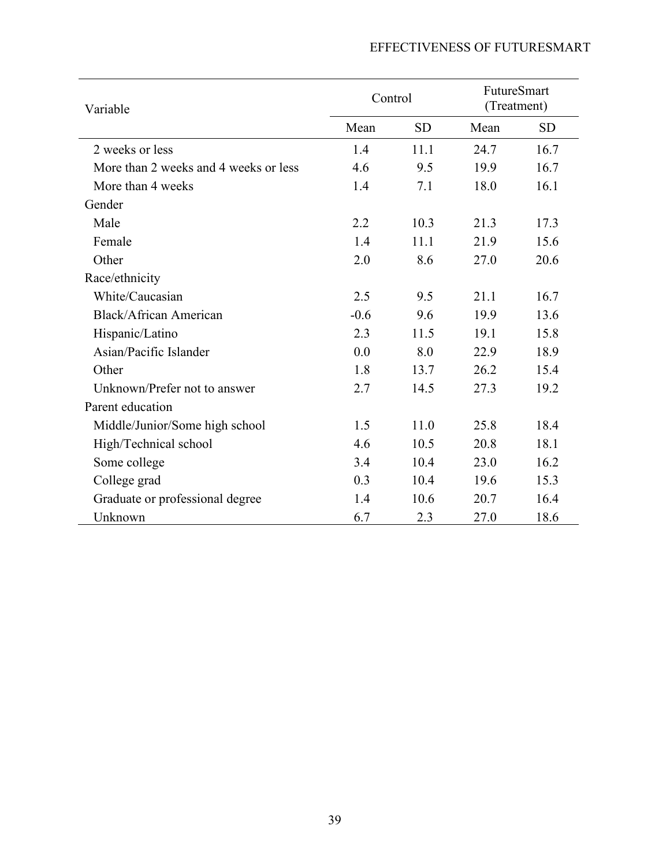# EFFECTIVENESS OF FUTURESMART

| Variable                              | Control |           | FutureSmart<br>(Treatment) |           |
|---------------------------------------|---------|-----------|----------------------------|-----------|
|                                       | Mean    | <b>SD</b> | Mean                       | <b>SD</b> |
| 2 weeks or less                       | 1.4     | 11.1      | 24.7                       | 16.7      |
| More than 2 weeks and 4 weeks or less | 4.6     | 9.5       | 19.9                       | 16.7      |
| More than 4 weeks                     | 1.4     | 7.1       | 18.0                       | 16.1      |
| Gender                                |         |           |                            |           |
| Male                                  | 2.2     | 10.3      | 21.3                       | 17.3      |
| Female                                | 1.4     | 11.1      | 21.9                       | 15.6      |
| Other                                 | 2.0     | 8.6       | 27.0                       | 20.6      |
| Race/ethnicity                        |         |           |                            |           |
| White/Caucasian                       | 2.5     | 9.5       | 21.1                       | 16.7      |
| <b>Black/African American</b>         | $-0.6$  | 9.6       | 19.9                       | 13.6      |
| Hispanic/Latino                       | 2.3     | 11.5      | 19.1                       | 15.8      |
| Asian/Pacific Islander                | 0.0     | 8.0       | 22.9                       | 18.9      |
| Other                                 | 1.8     | 13.7      | 26.2                       | 15.4      |
| Unknown/Prefer not to answer          | 2.7     | 14.5      | 27.3                       | 19.2      |
| Parent education                      |         |           |                            |           |
| Middle/Junior/Some high school        | 1.5     | 11.0      | 25.8                       | 18.4      |
| High/Technical school                 | 4.6     | 10.5      | 20.8                       | 18.1      |
| Some college                          | 3.4     | 10.4      | 23.0                       | 16.2      |
| College grad                          | 0.3     | 10.4      | 19.6                       | 15.3      |
| Graduate or professional degree       | 1.4     | 10.6      | 20.7                       | 16.4      |
| Unknown                               | 6.7     | 2.3       | 27.0                       | 18.6      |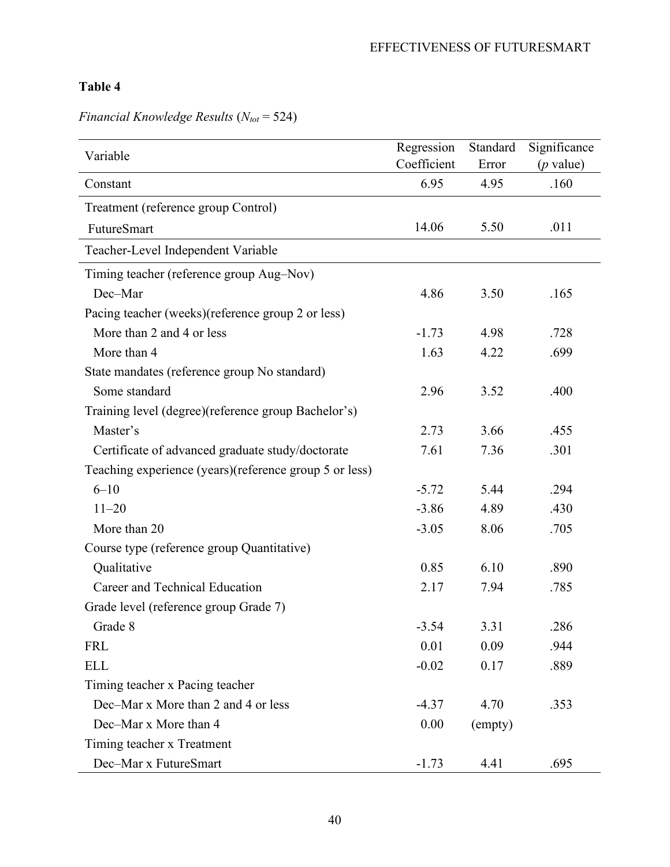| Variable                                               | Regression  | Standard | Significance |
|--------------------------------------------------------|-------------|----------|--------------|
|                                                        | Coefficient | Error    | $(p$ value)  |
| Constant                                               | 6.95        | 4.95     | .160         |
| Treatment (reference group Control)                    |             |          |              |
| FutureSmart                                            | 14.06       | 5.50     | .011         |
| Teacher-Level Independent Variable                     |             |          |              |
| Timing teacher (reference group Aug-Nov)               |             |          |              |
| Dec-Mar                                                | 4.86        | 3.50     | .165         |
| Pacing teacher (weeks)(reference group 2 or less)      |             |          |              |
| More than 2 and 4 or less                              | $-1.73$     | 4.98     | .728         |
| More than 4                                            | 1.63        | 4.22     | .699         |
| State mandates (reference group No standard)           |             |          |              |
| Some standard                                          | 2.96        | 3.52     | .400         |
| Training level (degree)(reference group Bachelor's)    |             |          |              |
| Master's                                               | 2.73        | 3.66     | .455         |
| Certificate of advanced graduate study/doctorate       | 7.61        | 7.36     | .301         |
| Teaching experience (years)(reference group 5 or less) |             |          |              |
| $6 - 10$                                               | $-5.72$     | 5.44     | .294         |
| $11 - 20$                                              | $-3.86$     | 4.89     | .430         |
| More than 20                                           | $-3.05$     | 8.06     | .705         |
| Course type (reference group Quantitative)             |             |          |              |
| Qualitative                                            | 0.85        | 6.10     | .890         |
| Career and Technical Education                         | 2.17        | 7.94     | .785         |
| Grade level (reference group Grade 7)                  |             |          |              |
| Grade 8                                                | $-3.54$     | 3.31     | .286         |
| <b>FRL</b>                                             | 0.01        | 0.09     | .944         |
| <b>ELL</b>                                             | $-0.02$     | 0.17     | .889         |
| Timing teacher x Pacing teacher                        |             |          |              |
| Dec-Mar x More than 2 and 4 or less                    | $-4.37$     | 4.70     | .353         |
| Dec-Mar x More than 4                                  | 0.00        | (empty)  |              |
| Timing teacher x Treatment                             |             |          |              |
| Dec-Mar x FutureSmart                                  | $-1.73$     | 4.41     | .695         |

# *Financial Knowledge Results* ( $N_{tot}$  = 524)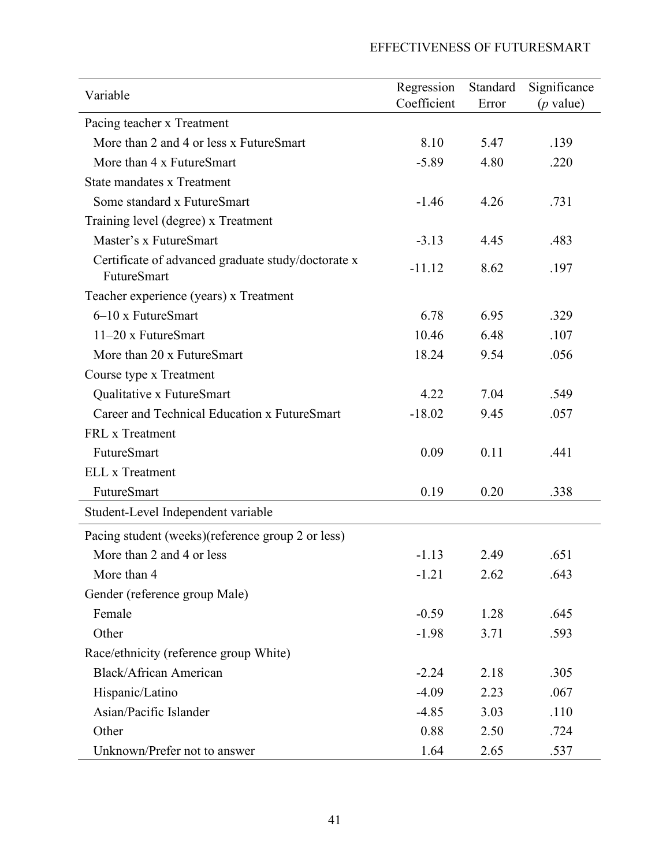## EFFECTIVENESS OF FUTURESMART

| Variable                                                                 | Regression  | Standard | Significance |
|--------------------------------------------------------------------------|-------------|----------|--------------|
|                                                                          | Coefficient | Error    | $(p$ value)  |
| Pacing teacher x Treatment                                               |             |          |              |
| More than 2 and 4 or less x FutureSmart                                  | 8.10        | 5.47     | .139         |
| More than 4 x FutureSmart                                                | $-5.89$     | 4.80     | .220         |
| <b>State mandates x Treatment</b>                                        |             |          |              |
| Some standard x FutureSmart                                              | $-1.46$     | 4.26     | .731         |
| Training level (degree) x Treatment                                      |             |          |              |
| Master's x FutureSmart                                                   | $-3.13$     | 4.45     | .483         |
| Certificate of advanced graduate study/doctorate x<br><b>FutureSmart</b> | $-11.12$    | 8.62     | .197         |
| Teacher experience (years) x Treatment                                   |             |          |              |
| $6-10$ x FutureSmart                                                     | 6.78        | 6.95     | .329         |
| $11-20$ x FutureSmart                                                    | 10.46       | 6.48     | .107         |
| More than 20 x FutureSmart                                               | 18.24       | 9.54     | .056         |
| Course type x Treatment                                                  |             |          |              |
| Qualitative x FutureSmart                                                | 4.22        | 7.04     | .549         |
| Career and Technical Education x FutureSmart                             | $-18.02$    | 9.45     | .057         |
| FRL x Treatment                                                          |             |          |              |
| FutureSmart                                                              | 0.09        | 0.11     | .441         |
| <b>ELL</b> x Treatment                                                   |             |          |              |
| FutureSmart                                                              | 0.19        | 0.20     | .338         |
| Student-Level Independent variable                                       |             |          |              |
| Pacing student (weeks)(reference group 2 or less)                        |             |          |              |
| More than 2 and 4 or less                                                | $-1.13$     | 2.49     | .651         |
| More than 4                                                              | $-1.21$     | 2.62     | .643         |
| Gender (reference group Male)                                            |             |          |              |
| Female                                                                   | $-0.59$     | 1.28     | .645         |
| Other                                                                    | $-1.98$     | 3.71     | .593         |
| Race/ethnicity (reference group White)                                   |             |          |              |
| <b>Black/African American</b>                                            | $-2.24$     | 2.18     | .305         |
| Hispanic/Latino                                                          | $-4.09$     | 2.23     | .067         |
| Asian/Pacific Islander                                                   | $-4.85$     | 3.03     | .110         |
| Other                                                                    | 0.88        | 2.50     | .724         |
| Unknown/Prefer not to answer                                             | 1.64        | 2.65     | .537         |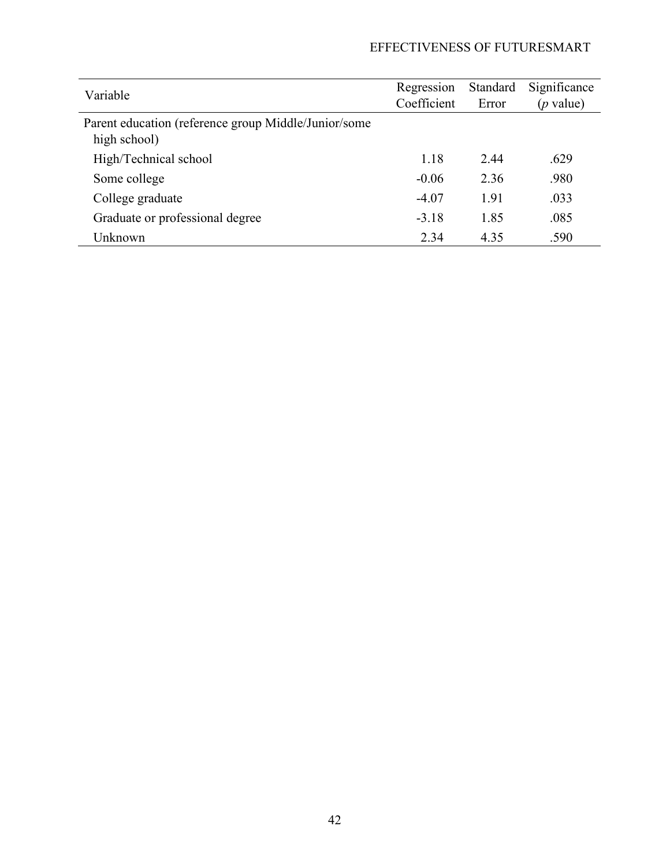# EFFECTIVENESS OF FUTURESMART

| Variable                                             | Regression  | Standard | Significance      |  |
|------------------------------------------------------|-------------|----------|-------------------|--|
|                                                      | Coefficient | Error    | ( <i>p</i> value) |  |
| Parent education (reference group Middle/Junior/some |             |          |                   |  |
| high school)                                         |             |          |                   |  |
| High/Technical school                                | 1.18        | 2.44     | .629              |  |
| Some college                                         | $-0.06$     | 2.36     | .980              |  |
| College graduate                                     | $-4.07$     | 1.91     | .033              |  |
| Graduate or professional degree                      | $-3.18$     | 1.85     | .085              |  |
| Unknown                                              | 2.34        | 4.35     | .590              |  |